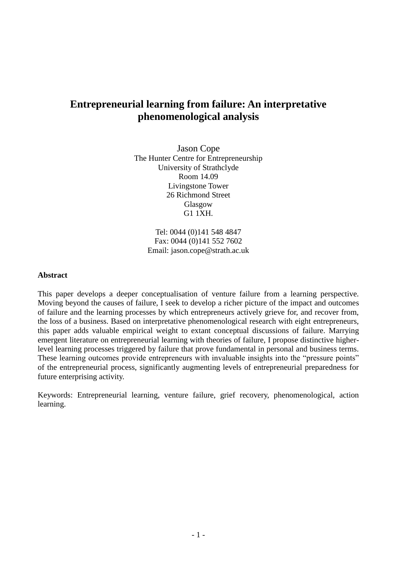# **Entrepreneurial learning from failure: An interpretative phenomenological analysis**

Jason Cope The Hunter Centre for Entrepreneurship University of Strathclyde Room 14.09 Livingstone Tower 26 Richmond Street Glasgow G1 1XH.

> Tel: 0044 (0)141 548 4847 Fax: 0044 (0)141 552 7602 Email: jason.cope@strath.ac.uk

## **Abstract**

This paper develops a deeper conceptualisation of venture failure from a learning perspective. Moving beyond the causes of failure, I seek to develop a richer picture of the impact and outcomes of failure and the learning processes by which entrepreneurs actively grieve for, and recover from, the loss of a business. Based on interpretative phenomenological research with eight entrepreneurs, this paper adds valuable empirical weight to extant conceptual discussions of failure. Marrying emergent literature on entrepreneurial learning with theories of failure, I propose distinctive higherlevel learning processes triggered by failure that prove fundamental in personal and business terms. These learning outcomes provide entrepreneurs with invaluable insights into the "pressure points" of the entrepreneurial process, significantly augmenting levels of entrepreneurial preparedness for future enterprising activity.

Keywords: Entrepreneurial learning, venture failure, grief recovery, phenomenological, action learning.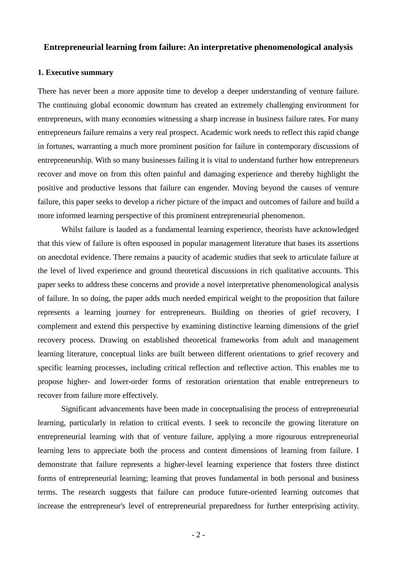## **Entrepreneurial learning from failure: An interpretative phenomenological analysis**

#### **1. Executive summary**

There has never been a more apposite time to develop a deeper understanding of venture failure. The continuing global economic downturn has created an extremely challenging environment for entrepreneurs, with many economies witnessing a sharp increase in business failure rates. For many entrepreneurs failure remains a very real prospect. Academic work needs to reflect this rapid change in fortunes, warranting a much more prominent position for failure in contemporary discussions of entrepreneurship. With so many businesses failing it is vital to understand further how entrepreneurs recover and move on from this often painful and damaging experience and thereby highlight the positive and productive lessons that failure can engender. Moving beyond the causes of venture failure, this paper seeks to develop a richer picture of the impact and outcomes of failure and build a more informed learning perspective of this prominent entrepreneurial phenomenon.

Whilst failure is lauded as a fundamental learning experience, theorists have acknowledged that this view of failure is often espoused in popular management literature that bases its assertions on anecdotal evidence. There remains a paucity of academic studies that seek to articulate failure at the level of lived experience and ground theoretical discussions in rich qualitative accounts. This paper seeks to address these concerns and provide a novel interpretative phenomenological analysis of failure. In so doing, the paper adds much needed empirical weight to the proposition that failure represents a learning journey for entrepreneurs. Building on theories of grief recovery, I complement and extend this perspective by examining distinctive learning dimensions of the grief recovery process. Drawing on established theoretical frameworks from adult and management learning literature, conceptual links are built between different orientations to grief recovery and specific learning processes, including critical reflection and reflective action. This enables me to propose higher- and lower-order forms of restoration orientation that enable entrepreneurs to recover from failure more effectively.

Significant advancements have been made in conceptualising the process of entrepreneurial learning, particularly in relation to critical events. I seek to reconcile the growing literature on entrepreneurial learning with that of venture failure, applying a more rigourous entrepreneurial learning lens to appreciate both the process and content dimensions of learning from failure. I demonstrate that failure represents a higher-level learning experience that fosters three distinct forms of entrepreneurial learning; learning that proves fundamental in both personal and business terms. The research suggests that failure can produce future-oriented learning outcomes that increase the entrepreneur's level of entrepreneurial preparedness for further enterprising activity.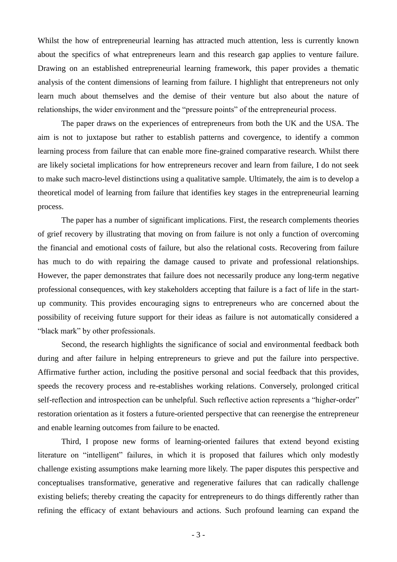Whilst the how of entrepreneurial learning has attracted much attention, less is currently known about the specifics of what entrepreneurs learn and this research gap applies to venture failure. Drawing on an established entrepreneurial learning framework, this paper provides a thematic analysis of the content dimensions of learning from failure. I highlight that entrepreneurs not only learn much about themselves and the demise of their venture but also about the nature of relationships, the wider environment and the "pressure points" of the entrepreneurial process.

The paper draws on the experiences of entrepreneurs from both the UK and the USA. The aim is not to juxtapose but rather to establish patterns and covergence, to identify a common learning process from failure that can enable more fine-grained comparative research. Whilst there are likely societal implications for how entrepreneurs recover and learn from failure, I do not seek to make such macro-level distinctions using a qualitative sample. Ultimately, the aim is to develop a theoretical model of learning from failure that identifies key stages in the entrepreneurial learning process.

The paper has a number of significant implications. First, the research complements theories of grief recovery by illustrating that moving on from failure is not only a function of overcoming the financial and emotional costs of failure, but also the relational costs. Recovering from failure has much to do with repairing the damage caused to private and professional relationships. However, the paper demonstrates that failure does not necessarily produce any long-term negative professional consequences, with key stakeholders accepting that failure is a fact of life in the startup community. This provides encouraging signs to entrepreneurs who are concerned about the possibility of receiving future support for their ideas as failure is not automatically considered a "black mark" by other professionals.

Second, the research highlights the significance of social and environmental feedback both during and after failure in helping entrepreneurs to grieve and put the failure into perspective. Affirmative further action, including the positive personal and social feedback that this provides, speeds the recovery process and re-establishes working relations. Conversely, prolonged critical self-reflection and introspection can be unhelpful. Such reflective action represents a "higher-order" restoration orientation as it fosters a future-oriented perspective that can reenergise the entrepreneur and enable learning outcomes from failure to be enacted.

Third, I propose new forms of learning-oriented failures that extend beyond existing literature on "intelligent" failures, in which it is proposed that failures which only modestly challenge existing assumptions make learning more likely. The paper disputes this perspective and conceptualises transformative, generative and regenerative failures that can radically challenge existing beliefs; thereby creating the capacity for entrepreneurs to do things differently rather than refining the efficacy of extant behaviours and actions. Such profound learning can expand the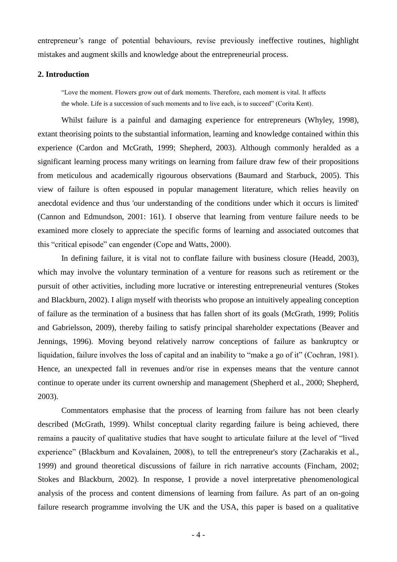entrepreneur's range of potential behaviours, revise previously ineffective routines, highlight mistakes and augment skills and knowledge about the entrepreneurial process.

#### **2. Introduction**

―Love the moment. Flowers grow out of dark moments. Therefore, each moment is vital. It affects the whole. Life is a succession of such moments and to live each, is to succeed" (Corita Kent).

 Whilst failure is a painful and damaging experience for entrepreneurs (Whyley, 1998), extant theorising points to the substantial information, learning and knowledge contained within this experience (Cardon and McGrath, 1999; Shepherd, 2003). Although commonly heralded as a significant learning process many writings on learning from failure draw few of their propositions from meticulous and academically rigourous observations (Baumard and Starbuck, 2005). This view of failure is often espoused in popular management literature, which relies heavily on anecdotal evidence and thus 'our understanding of the conditions under which it occurs is limited' (Cannon and Edmundson, 2001: 161). I observe that learning from venture failure needs to be examined more closely to appreciate the specific forms of learning and associated outcomes that this "critical episode" can engender (Cope and Watts, 2000).

 In defining failure, it is vital not to conflate failure with business closure (Headd, 2003), which may involve the voluntary termination of a venture for reasons such as retirement or the pursuit of other activities, including more lucrative or interesting entrepreneurial ventures (Stokes and Blackburn, 2002). I align myself with theorists who propose an intuitively appealing conception of failure as the termination of a business that has fallen short of its goals (McGrath, 1999; Politis and Gabrielsson, 2009), thereby failing to satisfy principal shareholder expectations (Beaver and Jennings, 1996). Moving beyond relatively narrow conceptions of failure as bankruptcy or liquidation, failure involves the loss of capital and an inability to "make a go of it" (Cochran, 1981). Hence, an unexpected fall in revenues and/or rise in expenses means that the venture cannot continue to operate under its current ownership and management (Shepherd et al., 2000; Shepherd, 2003).

Commentators emphasise that the process of learning from failure has not been clearly described (McGrath, 1999). Whilst conceptual clarity regarding failure is being achieved, there remains a paucity of qualitative studies that have sought to articulate failure at the level of "lived" experience" (Blackburn and Kovalainen, 2008), to tell the entrepreneur's story (Zacharakis et al., 1999) and ground theoretical discussions of failure in rich narrative accounts (Fincham, 2002; Stokes and Blackburn, 2002). In response, I provide a novel interpretative phenomenological analysis of the process and content dimensions of learning from failure. As part of an on-going failure research programme involving the UK and the USA, this paper is based on a qualitative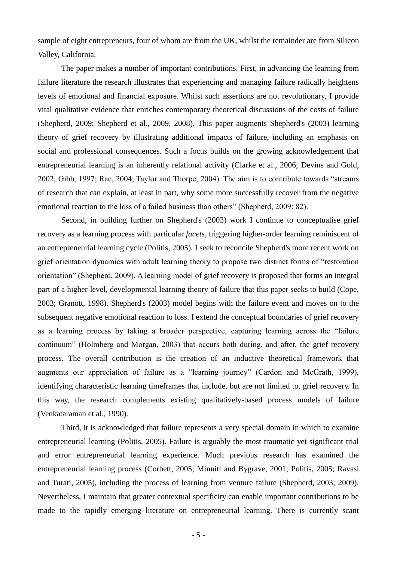sample of eight entrepreneurs, four of whom are from the UK, whilst the remainder are from Silicon Valley, California.

The paper makes a number of important contributions. First, in advancing the learning from failure literature the research illustrates that experiencing and managing failure radically heightens levels of emotional and financial exposure. Whilst such assertions are not revolutionary, I provide vital qualitative evidence that enriches contemporary theoretical discussions of the costs of failure (Shepherd, 2009; Shepherd et al., 2009, 2008). This paper augments Shepherd's (2003) learning theory of grief recovery by illustrating additional impacts of failure, including an emphasis on social and professional consequences. Such a focus builds on the growing acknowledgement that entrepreneurial learning is an inherently relational activity (Clarke et al., 2006; Devins and Gold, 2002; Gibb, 1997; Rae, 2004; Taylor and Thorpe, 2004). The aim is to contribute towards "streams" of research that can explain, at least in part, why some more successfully recover from the negative emotional reaction to the loss of a failed business than others" (Shepherd, 2009: 82).

Second, in building further on Shepherd's (2003) work I continue to conceptualise grief recovery as a learning process with particular *facets*, triggering higher-order learning reminiscent of an entrepreneurial learning cycle (Politis, 2005). I seek to reconcile Shepherd's more recent work on grief orientation dynamics with adult learning theory to propose two distinct forms of "restoration" orientation‖ (Shepherd, 2009). A learning model of grief recovery is proposed that forms an integral part of a higher-level, developmental learning theory of failure that this paper seeks to build (Cope, 2003; Granott, 1998). Shepherd's (2003) model begins with the failure event and moves on to the subsequent negative emotional reaction to loss. I extend the conceptual boundaries of grief recovery as a learning process by taking a broader perspective, capturing learning across the "failure" continuum" (Holmberg and Morgan, 2003) that occurs both during, and after, the grief recovery process. The overall contribution is the creation of an inductive theoretical framework that augments our appreciation of failure as a "learning journey" (Cardon and McGrath, 1999), identifying characteristic learning timeframes that include, but are not limited to, grief recovery. In this way, the research complements existing qualitatively-based process models of failure (Venkataraman et al., 1990).

Third, it is acknowledged that failure represents a very special domain in which to examine entrepreneurial learning (Politis, 2005). Failure is arguably the most traumatic yet significant trial and error entrepreneurial learning experience. Much previous research has examined the entrepreneurial learning process (Corbett, 2005; Minniti and Bygrave, 2001; Politis, 2005; Ravasi and Turati, 2005), including the process of learning from venture failure (Shepherd, 2003; 2009). Nevertheless, I maintain that greater contextual specificity can enable important contributions to be made to the rapidly emerging literature on entrepreneurial learning. There is currently scant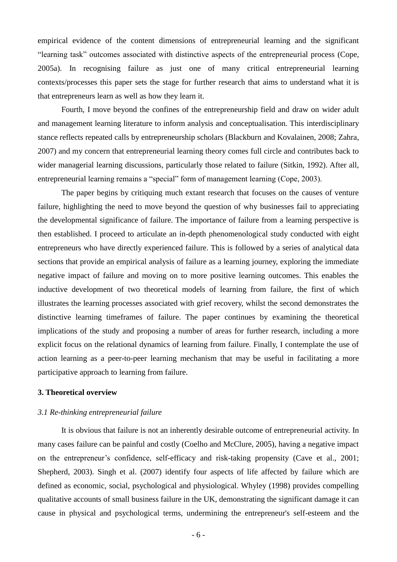empirical evidence of the content dimensions of entrepreneurial learning and the significant "learning task" outcomes associated with distinctive aspects of the entrepreneurial process (Cope, 2005a). In recognising failure as just one of many critical entrepreneurial learning contexts/processes this paper sets the stage for further research that aims to understand what it is that entrepreneurs learn as well as how they learn it.

Fourth, I move beyond the confines of the entrepreneurship field and draw on wider adult and management learning literature to inform analysis and conceptualisation. This interdisciplinary stance reflects repeated calls by entrepreneurship scholars (Blackburn and Kovalainen, 2008; Zahra, 2007) and my concern that entrepreneurial learning theory comes full circle and contributes back to wider managerial learning discussions, particularly those related to failure (Sitkin, 1992). After all, entrepreneurial learning remains a "special" form of management learning (Cope, 2003).

The paper begins by critiquing much extant research that focuses on the causes of venture failure, highlighting the need to move beyond the question of why businesses fail to appreciating the developmental significance of failure. The importance of failure from a learning perspective is then established. I proceed to articulate an in-depth phenomenological study conducted with eight entrepreneurs who have directly experienced failure. This is followed by a series of analytical data sections that provide an empirical analysis of failure as a learning journey, exploring the immediate negative impact of failure and moving on to more positive learning outcomes. This enables the inductive development of two theoretical models of learning from failure, the first of which illustrates the learning processes associated with grief recovery, whilst the second demonstrates the distinctive learning timeframes of failure. The paper continues by examining the theoretical implications of the study and proposing a number of areas for further research, including a more explicit focus on the relational dynamics of learning from failure. Finally, I contemplate the use of action learning as a peer-to-peer learning mechanism that may be useful in facilitating a more participative approach to learning from failure.

#### **3. Theoretical overview**

## *3.1 Re-thinking entrepreneurial failure*

It is obvious that failure is not an inherently desirable outcome of entrepreneurial activity. In many cases failure can be painful and costly (Coelho and McClure, 2005), having a negative impact on the entrepreneur's confidence, self-efficacy and risk-taking propensity (Cave et al., 2001; Shepherd, 2003). Singh et al. (2007) identify four aspects of life affected by failure which are defined as economic, social, psychological and physiological. Whyley (1998) provides compelling qualitative accounts of small business failure in the UK, demonstrating the significant damage it can cause in physical and psychological terms, undermining the entrepreneur's self-esteem and the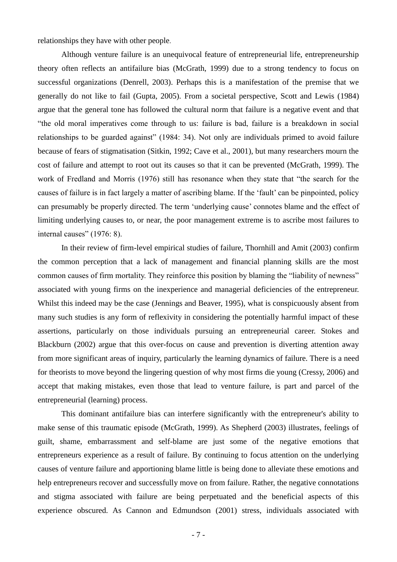relationships they have with other people.

 Although venture failure is an unequivocal feature of entrepreneurial life, entrepreneurship theory often reflects an antifailure bias (McGrath, 1999) due to a strong tendency to focus on successful organizations (Denrell, 2003). Perhaps this is a manifestation of the premise that we generally do not like to fail (Gupta, 2005). From a societal perspective, Scott and Lewis (1984) argue that the general tone has followed the cultural norm that failure is a negative event and that ―the old moral imperatives come through to us: failure is bad, failure is a breakdown in social relationships to be guarded against" (1984: 34). Not only are individuals primed to avoid failure because of fears of stigmatisation (Sitkin, 1992; Cave et al., 2001), but many researchers mourn the cost of failure and attempt to root out its causes so that it can be prevented (McGrath, 1999). The work of Fredland and Morris (1976) still has resonance when they state that "the search for the causes of failure is in fact largely a matter of ascribing blame. If the 'fault' can be pinpointed, policy can presumably be properly directed. The term 'underlying cause' connotes blame and the effect of limiting underlying causes to, or near, the poor management extreme is to ascribe most failures to internal causes" (1976: 8).

In their review of firm-level empirical studies of failure, Thornhill and Amit (2003) confirm the common perception that a lack of management and financial planning skills are the most common causes of firm mortality. They reinforce this position by blaming the "liability of newness" associated with young firms on the inexperience and managerial deficiencies of the entrepreneur. Whilst this indeed may be the case (Jennings and Beaver, 1995), what is conspicuously absent from many such studies is any form of reflexivity in considering the potentially harmful impact of these assertions, particularly on those individuals pursuing an entrepreneurial career. Stokes and Blackburn (2002) argue that this over-focus on cause and prevention is diverting attention away from more significant areas of inquiry, particularly the learning dynamics of failure. There is a need for theorists to move beyond the lingering question of why most firms die young (Cressy, 2006) and accept that making mistakes, even those that lead to venture failure, is part and parcel of the entrepreneurial (learning) process.

 This dominant antifailure bias can interfere significantly with the entrepreneur's ability to make sense of this traumatic episode (McGrath, 1999). As Shepherd (2003) illustrates, feelings of guilt, shame, embarrassment and self-blame are just some of the negative emotions that entrepreneurs experience as a result of failure. By continuing to focus attention on the underlying causes of venture failure and apportioning blame little is being done to alleviate these emotions and help entrepreneurs recover and successfully move on from failure. Rather, the negative connotations and stigma associated with failure are being perpetuated and the beneficial aspects of this experience obscured. As Cannon and Edmundson (2001) stress, individuals associated with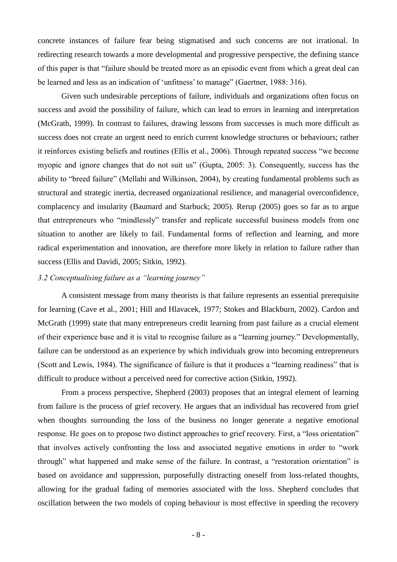concrete instances of failure fear being stigmatised and such concerns are not irrational. In redirecting research towards a more developmental and progressive perspective, the defining stance of this paper is that "failure should be treated more as an episodic event from which a great deal can be learned and less as an indication of 'unfitness' to manage" (Gaertner, 1988: 316).

Given such undesirable perceptions of failure, individuals and organizations often focus on success and avoid the possibility of failure, which can lead to errors in learning and interpretation (McGrath, 1999). In contrast to failures, drawing lessons from successes is much more difficult as success does not create an urgent need to enrich current knowledge structures or behaviours; rather it reinforces existing beliefs and routines (Ellis et al., 2006). Through repeated success "we become myopic and ignore changes that do not suit us" (Gupta, 2005: 3). Consequently, success has the ability to "breed failure" (Mellahi and Wilkinson, 2004), by creating fundamental problems such as structural and strategic inertia, decreased organizational resilience, and managerial overconfidence, complacency and insularity (Baumard and Starbuck; 2005). Rerup (2005) goes so far as to argue that entrepreneurs who "mindlessly" transfer and replicate successful business models from one situation to another are likely to fail. Fundamental forms of reflection and learning, and more radical experimentation and innovation, are therefore more likely in relation to failure rather than success (Ellis and Davidi, 2005; Sitkin, 1992).

# *3.2 Conceptualising failure as a "learning journey"*

 A consistent message from many theorists is that failure represents an essential prerequisite for learning (Cave et al., 2001; Hill and Hlavacek, 1977; Stokes and Blackburn, 2002). Cardon and McGrath (1999) state that many entrepreneurs credit learning from past failure as a crucial element of their experience base and it is vital to recognise failure as a "learning journey." Developmentally, failure can be understood as an experience by which individuals grow into becoming entrepreneurs (Scott and Lewis, 1984). The significance of failure is that it produces a "learning readiness" that is difficult to produce without a perceived need for corrective action (Sitkin, 1992).

From a process perspective, Shepherd (2003) proposes that an integral element of learning from failure is the process of grief recovery. He argues that an individual has recovered from grief when thoughts surrounding the loss of the business no longer generate a negative emotional response. He goes on to propose two distinct approaches to grief recovery. First, a "loss orientation" that involves actively confronting the loss and associated negative emotions in order to "work" through" what happened and make sense of the failure. In contrast, a "restoration orientation" is based on avoidance and suppression, purposefully distracting oneself from loss-related thoughts, allowing for the gradual fading of memories associated with the loss. Shepherd concludes that oscillation between the two models of coping behaviour is most effective in speeding the recovery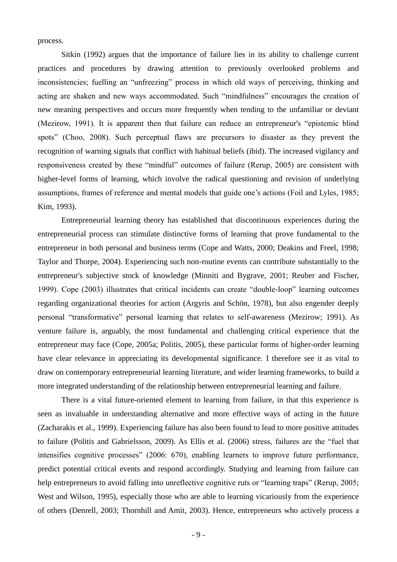process.

Sitkin (1992) argues that the importance of failure lies in its ability to challenge current practices and procedures by drawing attention to previously overlooked problems and inconsistencies; fuelling an "unfreezing" process in which old ways of perceiving, thinking and acting are shaken and new ways accommodated. Such "mindfulness" encourages the creation of new meaning perspectives and occurs more frequently when tending to the unfamiliar or deviant (Mezirow, 1991). It is apparent then that failure can reduce an entrepreneur's "epistemic blind" spots" (Choo, 2008). Such perceptual flaws are precursors to disaster as they prevent the recognition of warning signals that conflict with habitual beliefs (ibid). The increased vigilancy and responsiveness created by these "mindful" outcomes of failure (Rerup, 2005) are consistent with higher-level forms of learning, which involve the radical questioning and revision of underlying assumptions, frames of reference and mental models that guide one's actions (Foil and Lyles, 1985; Kim, 1993).

 Entrepreneurial learning theory has established that discontinuous experiences during the entrepreneurial process can stimulate distinctive forms of learning that prove fundamental to the entrepreneur in both personal and business terms (Cope and Watts, 2000; Deakins and Freel, 1998; Taylor and Thorpe, 2004). Experiencing such non-routine events can contribute substantially to the entrepreneur's subjective stock of knowledge (Minniti and Bygrave, 2001; Reuber and Fischer, 1999). Cope (2003) illustrates that critical incidents can create "double-loop" learning outcomes regarding organizational theories for action (Argyris and Schön, 1978), but also engender deeply personal "transformative" personal learning that relates to self-awareness (Mezirow; 1991). As venture failure is, arguably, the most fundamental and challenging critical experience that the entrepreneur may face (Cope, 2005a; Politis, 2005), these particular forms of higher-order learning have clear relevance in appreciating its developmental significance. I therefore see it as vital to draw on contemporary entrepreneurial learning literature, and wider learning frameworks, to build a more integrated understanding of the relationship between entrepreneurial learning and failure.

 There is a vital future-oriented element to learning from failure, in that this experience is seen as invaluable in understanding alternative and more effective ways of acting in the future (Zacharakis et al., 1999). Experiencing failure has also been found to lead to more positive attitudes to failure (Politis and Gabrielsson, 2009). As Ellis et al. (2006) stress, failures are the "fuel that intensifies cognitive processes" (2006: 670), enabling learners to improve future performance, predict potential critical events and respond accordingly. Studying and learning from failure can help entrepreneurs to avoid falling into unreflective cognitive ruts or "learning traps" (Rerup, 2005; West and Wilson, 1995), especially those who are able to learning vicariously from the experience of others (Denrell, 2003; Thornhill and Amit, 2003). Hence, entrepreneurs who actively process a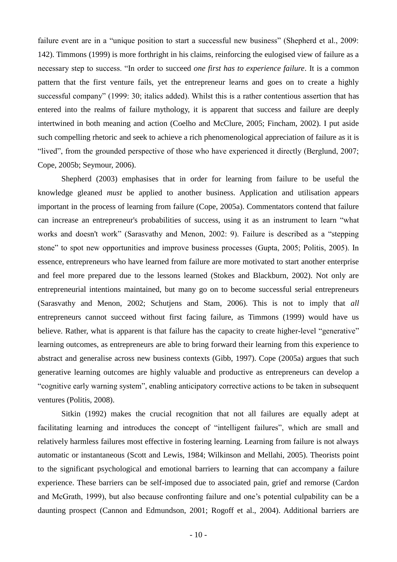failure event are in a "unique position to start a successful new business" (Shepherd et al., 2009: 142). Timmons (1999) is more forthright in his claims, reinforcing the eulogised view of failure as a necessary step to success. "In order to succeed *one first has to experience failure*. It is a common pattern that the first venture fails, yet the entrepreneur learns and goes on to create a highly successful company" (1999: 30; italics added). Whilst this is a rather contentious assertion that has entered into the realms of failure mythology, it is apparent that success and failure are deeply intertwined in both meaning and action (Coelho and McClure, 2005; Fincham, 2002). I put aside such compelling rhetoric and seek to achieve a rich phenomenological appreciation of failure as it is "lived", from the grounded perspective of those who have experienced it directly (Berglund, 2007; Cope, 2005b; Seymour, 2006).

 Shepherd (2003) emphasises that in order for learning from failure to be useful the knowledge gleaned *must* be applied to another business. Application and utilisation appears important in the process of learning from failure (Cope, 2005a). Commentators contend that failure can increase an entrepreneur's probabilities of success, using it as an instrument to learn "what works and doesn't work" (Sarasvathy and Menon, 2002: 9). Failure is described as a "stepping stone" to spot new opportunities and improve business processes (Gupta, 2005; Politis, 2005). In essence, entrepreneurs who have learned from failure are more motivated to start another enterprise and feel more prepared due to the lessons learned (Stokes and Blackburn, 2002). Not only are entrepreneurial intentions maintained, but many go on to become successful serial entrepreneurs (Sarasvathy and Menon, 2002; Schutjens and Stam, 2006). This is not to imply that *all* entrepreneurs cannot succeed without first facing failure, as Timmons (1999) would have us believe. Rather, what is apparent is that failure has the capacity to create higher-level "generative" learning outcomes, as entrepreneurs are able to bring forward their learning from this experience to abstract and generalise across new business contexts (Gibb, 1997). Cope (2005a) argues that such generative learning outcomes are highly valuable and productive as entrepreneurs can develop a ―cognitive early warning system‖, enabling anticipatory corrective actions to be taken in subsequent ventures (Politis, 2008).

 Sitkin (1992) makes the crucial recognition that not all failures are equally adept at facilitating learning and introduces the concept of "intelligent failures", which are small and relatively harmless failures most effective in fostering learning. Learning from failure is not always automatic or instantaneous (Scott and Lewis, 1984; Wilkinson and Mellahi, 2005). Theorists point to the significant psychological and emotional barriers to learning that can accompany a failure experience. These barriers can be self-imposed due to associated pain, grief and remorse (Cardon and McGrath, 1999), but also because confronting failure and one's potential culpability can be a daunting prospect (Cannon and Edmundson, 2001; Rogoff et al., 2004). Additional barriers are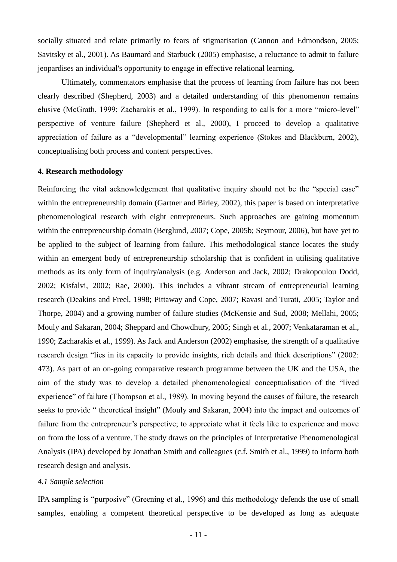socially situated and relate primarily to fears of stigmatisation (Cannon and Edmondson, 2005; Savitsky et al., 2001). As Baumard and Starbuck (2005) emphasise, a reluctance to admit to failure jeopardises an individual's opportunity to engage in effective relational learning.

 Ultimately, commentators emphasise that the process of learning from failure has not been clearly described (Shepherd, 2003) and a detailed understanding of this phenomenon remains elusive (McGrath, 1999; Zacharakis et al., 1999). In responding to calls for a more "micro-level" perspective of venture failure (Shepherd et al., 2000), I proceed to develop a qualitative appreciation of failure as a "developmental" learning experience (Stokes and Blackburn, 2002), conceptualising both process and content perspectives.

## **4. Research methodology**

Reinforcing the vital acknowledgement that qualitative inquiry should not be the "special case" within the entrepreneurship domain (Gartner and Birley, 2002), this paper is based on interpretative phenomenological research with eight entrepreneurs. Such approaches are gaining momentum within the entrepreneurship domain (Berglund, 2007; Cope, 2005b; Seymour, 2006), but have yet to be applied to the subject of learning from failure. This methodological stance locates the study within an emergent body of entrepreneurship scholarship that is confident in utilising qualitative methods as its only form of inquiry/analysis (e.g. Anderson and Jack, 2002; Drakopoulou Dodd, 2002; Kisfalvi, 2002; Rae, 2000). This includes a vibrant stream of entrepreneurial learning research (Deakins and Freel, 1998; Pittaway and Cope, 2007; Ravasi and Turati, 2005; Taylor and Thorpe, 2004) and a growing number of failure studies (McKensie and Sud, 2008; Mellahi, 2005; Mouly and Sakaran, 2004; Sheppard and Chowdhury, 2005; Singh et al., 2007; Venkataraman et al., 1990; Zacharakis et al., 1999). As Jack and Anderson (2002) emphasise, the strength of a qualitative research design "lies in its capacity to provide insights, rich details and thick descriptions" (2002: 473). As part of an on-going comparative research programme between the UK and the USA, the aim of the study was to develop a detailed phenomenological conceptualisation of the "lived experience" of failure (Thompson et al., 1989). In moving beyond the causes of failure, the research seeks to provide " theoretical insight" (Mouly and Sakaran, 2004) into the impact and outcomes of failure from the entrepreneur's perspective; to appreciate what it feels like to experience and move on from the loss of a venture. The study draws on the principles of Interpretative Phenomenological Analysis (IPA) developed by Jonathan Smith and colleagues (c.f. Smith et al., 1999) to inform both research design and analysis.

## *4.1 Sample selection*

IPA sampling is "purposive" (Greening et al., 1996) and this methodology defends the use of small samples, enabling a competent theoretical perspective to be developed as long as adequate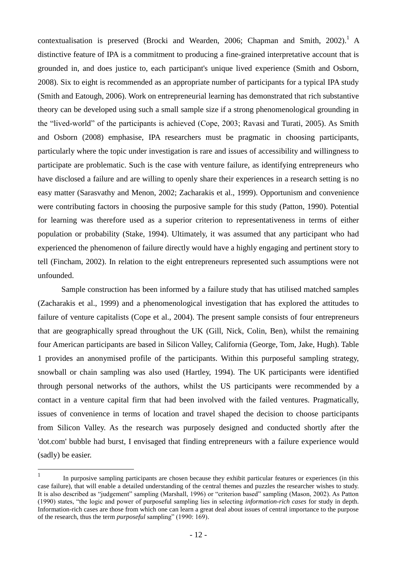contextualisation is preserved (Brocki and Wearden, 2006; Chapman and Smith, 2002).<sup>1</sup> A distinctive feature of IPA is a commitment to producing a fine-grained interpretative account that is grounded in, and does justice to, each participant's unique lived experience (Smith and Osborn, 2008). Six to eight is recommended as an appropriate number of participants for a typical IPA study (Smith and Eatough, 2006). Work on entrepreneurial learning has demonstrated that rich substantive theory can be developed using such a small sample size if a strong phenomenological grounding in the "lived-world" of the participants is achieved (Cope, 2003; Ravasi and Turati, 2005). As Smith and Osborn (2008) emphasise, IPA researchers must be pragmatic in choosing participants, particularly where the topic under investigation is rare and issues of accessibility and willingness to participate are problematic. Such is the case with venture failure, as identifying entrepreneurs who have disclosed a failure and are willing to openly share their experiences in a research setting is no easy matter (Sarasvathy and Menon, 2002; Zacharakis et al., 1999). Opportunism and convenience were contributing factors in choosing the purposive sample for this study (Patton, 1990). Potential for learning was therefore used as a superior criterion to representativeness in terms of either population or probability (Stake, 1994). Ultimately, it was assumed that any participant who had experienced the phenomenon of failure directly would have a highly engaging and pertinent story to tell (Fincham, 2002). In relation to the eight entrepreneurs represented such assumptions were not unfounded.

Sample construction has been informed by a failure study that has utilised matched samples (Zacharakis et al., 1999) and a phenomenological investigation that has explored the attitudes to failure of venture capitalists (Cope et al., 2004). The present sample consists of four entrepreneurs that are geographically spread throughout the UK (Gill, Nick, Colin, Ben), whilst the remaining four American participants are based in Silicon Valley, California (George, Tom, Jake, Hugh). Table 1 provides an anonymised profile of the participants. Within this purposeful sampling strategy, snowball or chain sampling was also used (Hartley, 1994). The UK participants were identified through personal networks of the authors, whilst the US participants were recommended by a contact in a venture capital firm that had been involved with the failed ventures. Pragmatically, issues of convenience in terms of location and travel shaped the decision to choose participants from Silicon Valley. As the research was purposely designed and conducted shortly after the 'dot.com' bubble had burst, I envisaged that finding entrepreneurs with a failure experience would (sadly) be easier.

 $\frac{1}{1}$ In purposive sampling participants are chosen because they exhibit particular features or experiences (in this case failure), that will enable a detailed understanding of the central themes and puzzles the researcher wishes to study. It is also described as "judgement" sampling (Marshall, 1996) or "criterion based" sampling (Mason, 2002). As Patton (1990) states, ―the logic and power of purposeful sampling lies in selecting *information-rich cases* for study in depth. Information-rich cases are those from which one can learn a great deal about issues of central importance to the purpose of the research, thus the term *purposeful* sampling" (1990: 169).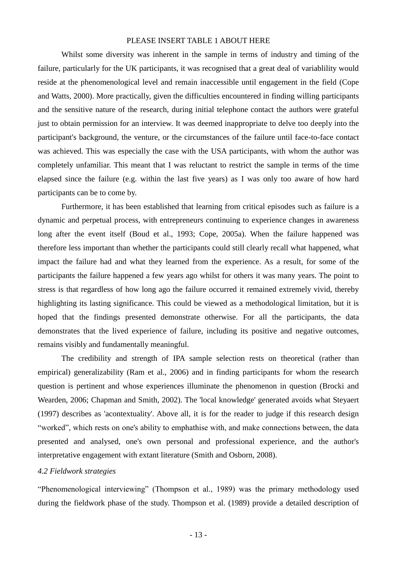## PLEASE INSERT TABLE 1 ABOUT HERE

Whilst some diversity was inherent in the sample in terms of industry and timing of the failure, particularly for the UK participants, it was recognised that a great deal of variablility would reside at the phenomenological level and remain inaccessible until engagement in the field (Cope and Watts, 2000). More practically, given the difficulties encountered in finding willing participants and the sensitive nature of the research, during initial telephone contact the authors were grateful just to obtain permission for an interview. It was deemed inappropriate to delve too deeply into the participant's background, the venture, or the circumstances of the failure until face-to-face contact was achieved. This was especially the case with the USA participants, with whom the author was completely unfamiliar. This meant that I was reluctant to restrict the sample in terms of the time elapsed since the failure (e.g. within the last five years) as I was only too aware of how hard participants can be to come by.

Furthermore, it has been established that learning from critical episodes such as failure is a dynamic and perpetual process, with entrepreneurs continuing to experience changes in awareness long after the event itself (Boud et al., 1993; Cope, 2005a). When the failure happened was therefore less important than whether the participants could still clearly recall what happened, what impact the failure had and what they learned from the experience. As a result, for some of the participants the failure happened a few years ago whilst for others it was many years. The point to stress is that regardless of how long ago the failure occurred it remained extremely vivid, thereby highlighting its lasting significance. This could be viewed as a methodological limitation, but it is hoped that the findings presented demonstrate otherwise. For all the participants, the data demonstrates that the lived experience of failure, including its positive and negative outcomes, remains visibly and fundamentally meaningful.

The credibility and strength of IPA sample selection rests on theoretical (rather than empirical) generalizability (Ram et al., 2006) and in finding participants for whom the research question is pertinent and whose experiences illuminate the phenomenon in question (Brocki and Wearden, 2006; Chapman and Smith, 2002). The 'local knowledge' generated avoids what Steyaert (1997) describes as 'acontextuality'. Above all, it is for the reader to judge if this research design ―worked‖, which rests on one's ability to emphathise with, and make connections between, the data presented and analysed, one's own personal and professional experience, and the author's interpretative engagement with extant literature (Smith and Osborn, 2008).

# *4.2 Fieldwork strategies*

"Phenomenological interviewing" (Thompson et al., 1989) was the primary methodology used during the fieldwork phase of the study. Thompson et al. (1989) provide a detailed description of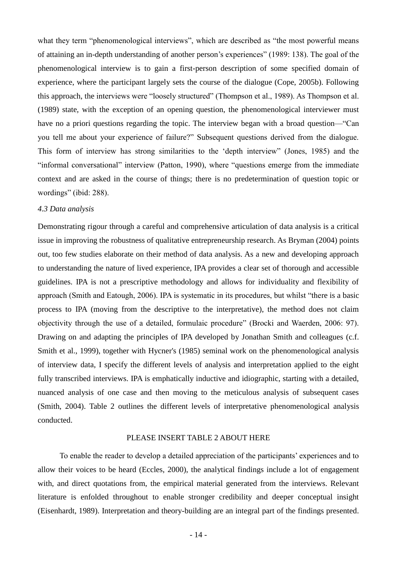what they term "phenomenological interviews", which are described as "the most powerful means" of attaining an in-depth understanding of another person's experiences" (1989: 138). The goal of the phenomenological interview is to gain a first-person description of some specified domain of experience, where the participant largely sets the course of the dialogue (Cope, 2005b). Following this approach, the interviews were "loosely structured" (Thompson et al., 1989). As Thompson et al. (1989) state, with the exception of an opening question, the phenomenological interviewer must have no a priori questions regarding the topic. The interview began with a broad question— "Can you tell me about your experience of failure?" Subsequent questions derived from the dialogue. This form of interview has strong similarities to the 'depth interview' (Jones, 1985) and the "informal conversational" interview (Patton, 1990), where "questions emerge from the immediate context and are asked in the course of things; there is no predetermination of question topic or wordings" (ibid: 288).

# *4.3 Data analysis*

Demonstrating rigour through a careful and comprehensive articulation of data analysis is a critical issue in improving the robustness of qualitative entrepreneurship research. As Bryman (2004) points out, too few studies elaborate on their method of data analysis. As a new and developing approach to understanding the nature of lived experience, IPA provides a clear set of thorough and accessible guidelines. IPA is not a prescriptive methodology and allows for individuality and flexibility of approach (Smith and Eatough, 2006). IPA is systematic in its procedures, but whilst "there is a basic process to IPA (moving from the descriptive to the interpretative), the method does not claim objectivity through the use of a detailed, formulaic procedure" (Brocki and Waerden, 2006: 97). Drawing on and adapting the principles of IPA developed by Jonathan Smith and colleagues (c.f. Smith et al., 1999), together with Hycner's (1985) seminal work on the phenomenological analysis of interview data, I specify the different levels of analysis and interpretation applied to the eight fully transcribed interviews. IPA is emphatically inductive and idiographic, starting with a detailed, nuanced analysis of one case and then moving to the meticulous analysis of subsequent cases (Smith, 2004). Table 2 outlines the different levels of interpretative phenomenological analysis conducted.

## PLEASE INSERT TABLE 2 ABOUT HERE

 To enable the reader to develop a detailed appreciation of the participants' experiences and to allow their voices to be heard (Eccles, 2000), the analytical findings include a lot of engagement with, and direct quotations from, the empirical material generated from the interviews. Relevant literature is enfolded throughout to enable stronger credibility and deeper conceptual insight (Eisenhardt, 1989). Interpretation and theory-building are an integral part of the findings presented.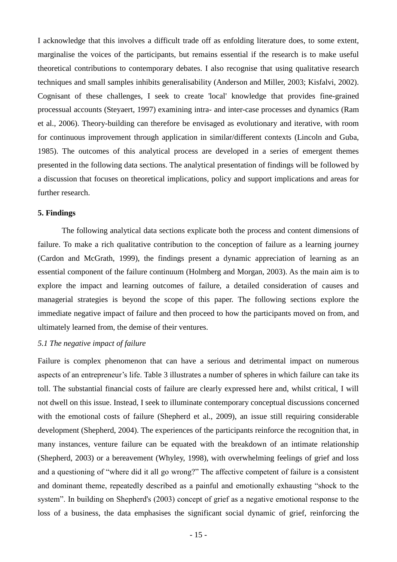I acknowledge that this involves a difficult trade off as enfolding literature does, to some extent, marginalise the voices of the participants, but remains essential if the research is to make useful theoretical contributions to contemporary debates. I also recognise that using qualitative research techniques and small samples inhibits generalisability (Anderson and Miller, 2003; Kisfalvi, 2002). Cognisant of these challenges, I seek to create 'local' knowledge that provides fine-grained processual accounts (Steyaert, 1997) examining intra- and inter-case processes and dynamics (Ram et al., 2006). Theory-building can therefore be envisaged as evolutionary and iterative, with room for continuous improvement through application in similar/different contexts (Lincoln and Guba, 1985). The outcomes of this analytical process are developed in a series of emergent themes presented in the following data sections. The analytical presentation of findings will be followed by a discussion that focuses on theoretical implications, policy and support implications and areas for further research.

#### **5. Findings**

 The following analytical data sections explicate both the process and content dimensions of failure. To make a rich qualitative contribution to the conception of failure as a learning journey (Cardon and McGrath, 1999), the findings present a dynamic appreciation of learning as an essential component of the failure continuum (Holmberg and Morgan, 2003). As the main aim is to explore the impact and learning outcomes of failure, a detailed consideration of causes and managerial strategies is beyond the scope of this paper. The following sections explore the immediate negative impact of failure and then proceed to how the participants moved on from, and ultimately learned from, the demise of their ventures.

#### *5.1 The negative impact of failure*

Failure is complex phenomenon that can have a serious and detrimental impact on numerous aspects of an entrepreneur's life. Table 3 illustrates a number of spheres in which failure can take its toll. The substantial financial costs of failure are clearly expressed here and, whilst critical, I will not dwell on this issue. Instead, I seek to illuminate contemporary conceptual discussions concerned with the emotional costs of failure (Shepherd et al., 2009), an issue still requiring considerable development (Shepherd, 2004). The experiences of the participants reinforce the recognition that, in many instances, venture failure can be equated with the breakdown of an intimate relationship (Shepherd, 2003) or a bereavement (Whyley, 1998), with overwhelming feelings of grief and loss and a questioning of "where did it all go wrong?" The affective competent of failure is a consistent and dominant theme, repeatedly described as a painful and emotionally exhausting "shock to the system". In building on Shepherd's (2003) concept of grief as a negative emotional response to the loss of a business, the data emphasises the significant social dynamic of grief, reinforcing the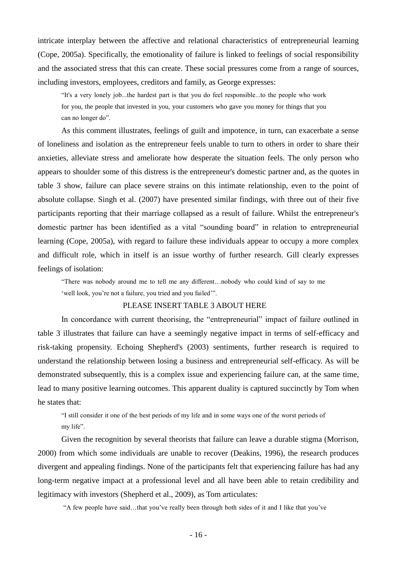intricate interplay between the affective and relational characteristics of entrepreneurial learning (Cope, 2005a). Specifically, the emotionality of failure is linked to feelings of social responsibility and the associated stress that this can create. These social pressures come from a range of sources, including investors, employees, creditors and family, as George expresses:

―It's a very lonely job...the hardest part is that you do feel responsible...to the people who work for you, the people that invested in you, your customers who gave you money for things that you can no longer do".

 As this comment illustrates, feelings of guilt and impotence, in turn, can exacerbate a sense of loneliness and isolation as the entrepreneur feels unable to turn to others in order to share their anxieties, alleviate stress and ameliorate how desperate the situation feels. The only person who appears to shoulder some of this distress is the entrepreneur's domestic partner and, as the quotes in table 3 show, failure can place severe strains on this intimate relationship, even to the point of absolute collapse. Singh et al. (2007) have presented similar findings, with three out of their five participants reporting that their marriage collapsed as a result of failure. Whilst the entrepreneur's domestic partner has been identified as a vital "sounding board" in relation to entrepreneurial learning (Cope, 2005a), with regard to failure these individuals appear to occupy a more complex and difficult role, which in itself is an issue worthy of further research. Gill clearly expresses feelings of isolation:

―There was nobody around me to tell me any different…nobody who could kind of say to me 'well look, you're not a failure, you tried and you failed'".

#### PLEASE INSERT TABLE 3 ABOUT HERE

In concordance with current theorising, the "entrepreneurial" impact of failure outlined in table 3 illustrates that failure can have a seemingly negative impact in terms of self-efficacy and risk-taking propensity. Echoing Shepherd's (2003) sentiments, further research is required to understand the relationship between losing a business and entrepreneurial self-efficacy. As will be demonstrated subsequently, this is a complex issue and experiencing failure can, at the same time, lead to many positive learning outcomes. This apparent duality is captured succinctly by Tom when he states that:

―I still consider it one of the best periods of my life and in some ways one of the worst periods of my life".

Given the recognition by several theorists that failure can leave a durable stigma (Morrison, 2000) from which some individuals are unable to recover (Deakins, 1996), the research produces divergent and appealing findings. None of the participants felt that experiencing failure has had any long-term negative impact at a professional level and all have been able to retain credibility and legitimacy with investors (Shepherd et al., 2009), as Tom articulates:

―A few people have said…that you've really been through both sides of it and I like that you've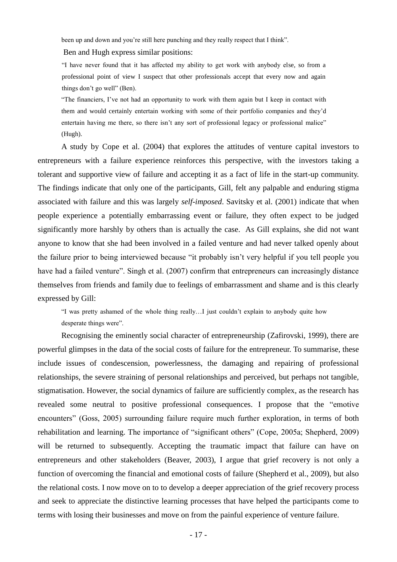been up and down and you're still here punching and they really respect that I think".

Ben and Hugh express similar positions:

―I have never found that it has affected my ability to get work with anybody else, so from a professional point of view I suspect that other professionals accept that every now and again things don't go well" (Ben).

―The financiers, I've not had an opportunity to work with them again but I keep in contact with them and would certainly entertain working with some of their portfolio companies and they'd entertain having me there, so there isn't any sort of professional legacy or professional malice" (Hugh).

A study by Cope et al. (2004) that explores the attitudes of venture capital investors to entrepreneurs with a failure experience reinforces this perspective, with the investors taking a tolerant and supportive view of failure and accepting it as a fact of life in the start-up community. The findings indicate that only one of the participants, Gill, felt any palpable and enduring stigma associated with failure and this was largely *self-imposed*. Savitsky et al. (2001) indicate that when people experience a potentially embarrassing event or failure, they often expect to be judged significantly more harshly by others than is actually the case. As Gill explains, she did not want anyone to know that she had been involved in a failed venture and had never talked openly about the failure prior to being interviewed because "it probably isn't very helpful if you tell people you have had a failed venture". Singh et al. (2007) confirm that entrepreneurs can increasingly distance themselves from friends and family due to feelings of embarrassment and shame and is this clearly expressed by Gill:

―I was pretty ashamed of the whole thing really…I just couldn't explain to anybody quite how desperate things were".

Recognising the eminently social character of entrepreneurship (Zafirovski, 1999), there are powerful glimpses in the data of the social costs of failure for the entrepreneur. To summarise, these include issues of condescension, powerlessness, the damaging and repairing of professional relationships, the severe straining of personal relationships and perceived, but perhaps not tangible, stigmatisation. However, the social dynamics of failure are sufficiently complex, as the research has revealed some neutral to positive professional consequences. I propose that the "emotive encounters" (Goss, 2005) surrounding failure require much further exploration, in terms of both rehabilitation and learning. The importance of "significant others" (Cope, 2005a; Shepherd, 2009) will be returned to subsequently. Accepting the traumatic impact that failure can have on entrepreneurs and other stakeholders (Beaver, 2003), I argue that grief recovery is not only a function of overcoming the financial and emotional costs of failure (Shepherd et al., 2009), but also the relational costs. I now move on to to develop a deeper appreciation of the grief recovery process and seek to appreciate the distinctive learning processes that have helped the participants come to terms with losing their businesses and move on from the painful experience of venture failure.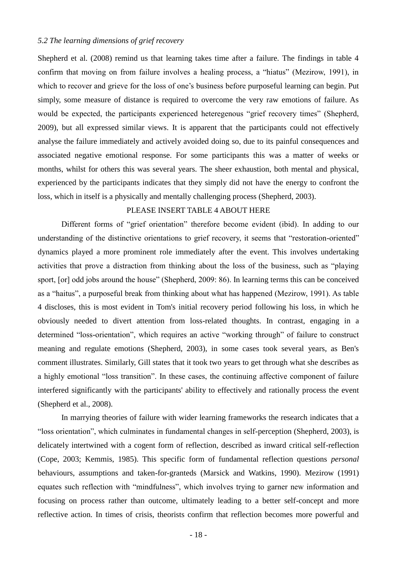# *5.2 The learning dimensions of grief recovery*

Shepherd et al. (2008) remind us that learning takes time after a failure. The findings in table 4 confirm that moving on from failure involves a healing process, a "hiatus" (Mezirow, 1991), in which to recover and grieve for the loss of one's business before purposeful learning can begin. Put simply, some measure of distance is required to overcome the very raw emotions of failure. As would be expected, the participants experienced heteregenous "grief recovery times" (Shepherd, 2009), but all expressed similar views. It is apparent that the participants could not effectively analyse the failure immediately and actively avoided doing so, due to its painful consequences and associated negative emotional response. For some participants this was a matter of weeks or months, whilst for others this was several years. The sheer exhaustion, both mental and physical, experienced by the participants indicates that they simply did not have the energy to confront the loss, which in itself is a physically and mentally challenging process (Shepherd, 2003).

## PLEASE INSERT TABLE 4 ABOUT HERE

Different forms of "grief orientation" therefore become evident (ibid). In adding to our understanding of the distinctive orientations to grief recovery, it seems that "restoration-oriented" dynamics played a more prominent role immediately after the event. This involves undertaking activities that prove a distraction from thinking about the loss of the business, such as "playing sport, [or] odd jobs around the house" (Shepherd, 2009: 86). In learning terms this can be conceived as a "haitus", a purposeful break from thinking about what has happened (Mezirow, 1991). As table 4 discloses, this is most evident in Tom's initial recovery period following his loss, in which he obviously needed to divert attention from loss-related thoughts. In contrast, engaging in a determined "loss-orientation", which requires an active "working through" of failure to construct meaning and regulate emotions (Shepherd, 2003), in some cases took several years, as Ben's comment illustrates. Similarly, Gill states that it took two years to get through what she describes as a highly emotional "loss transition". In these cases, the continuing affective component of failure interfered significantly with the participants' ability to effectively and rationally process the event (Shepherd et al., 2008).

In marrying theories of failure with wider learning frameworks the research indicates that a "loss orientation", which culminates in fundamental changes in self-perception (Shepherd, 2003), is delicately intertwined with a cogent form of reflection, described as inward critical self-reflection (Cope, 2003; Kemmis, 1985). This specific form of fundamental reflection questions *personal* behaviours, assumptions and taken-for-granteds (Marsick and Watkins, 1990). Mezirow (1991) equates such reflection with "mindfulness", which involves trying to garner new information and focusing on process rather than outcome, ultimately leading to a better self-concept and more reflective action. In times of crisis, theorists confirm that reflection becomes more powerful and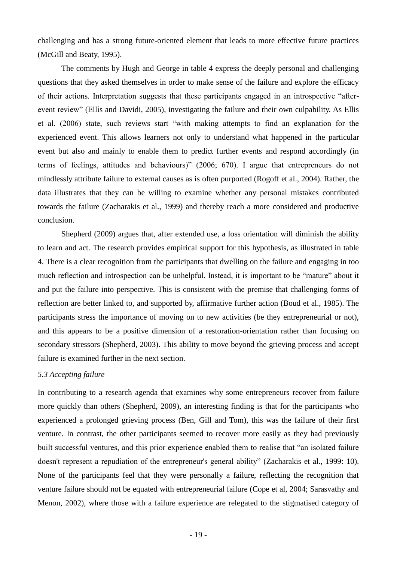challenging and has a strong future-oriented element that leads to more effective future practices (McGill and Beaty, 1995).

The comments by Hugh and George in table 4 express the deeply personal and challenging questions that they asked themselves in order to make sense of the failure and explore the efficacy of their actions. Interpretation suggests that these participants engaged in an introspective "afterevent review" (Ellis and Davidi, 2005), investigating the failure and their own culpability. As Ellis et al. (2006) state, such reviews start "with making attempts to find an explanation for the experienced event. This allows learners not only to understand what happened in the particular event but also and mainly to enable them to predict further events and respond accordingly (in terms of feelings, attitudes and behaviours)" (2006; 670). I argue that entrepreneurs do not mindlessly attribute failure to external causes as is often purported (Rogoff et al., 2004). Rather, the data illustrates that they can be willing to examine whether any personal mistakes contributed towards the failure (Zacharakis et al., 1999) and thereby reach a more considered and productive conclusion.

Shepherd (2009) argues that, after extended use, a loss orientation will diminish the ability to learn and act. The research provides empirical support for this hypothesis, as illustrated in table 4. There is a clear recognition from the participants that dwelling on the failure and engaging in too much reflection and introspection can be unhelpful. Instead, it is important to be "mature" about it and put the failure into perspective. This is consistent with the premise that challenging forms of reflection are better linked to, and supported by, affirmative further action (Boud et al., 1985). The participants stress the importance of moving on to new activities (be they entrepreneurial or not), and this appears to be a positive dimension of a restoration-orientation rather than focusing on secondary stressors (Shepherd, 2003). This ability to move beyond the grieving process and accept failure is examined further in the next section.

#### *5.3 Accepting failure*

In contributing to a research agenda that examines why some entrepreneurs recover from failure more quickly than others (Shepherd, 2009), an interesting finding is that for the participants who experienced a prolonged grieving process (Ben, Gill and Tom), this was the failure of their first venture. In contrast, the other participants seemed to recover more easily as they had previously built successful ventures, and this prior experience enabled them to realise that "an isolated failure" doesn't represent a repudiation of the entrepreneur's general ability" (Zacharakis et al., 1999: 10). None of the participants feel that they were personally a failure, reflecting the recognition that venture failure should not be equated with entrepreneurial failure (Cope et al, 2004; Sarasvathy and Menon, 2002), where those with a failure experience are relegated to the stigmatised category of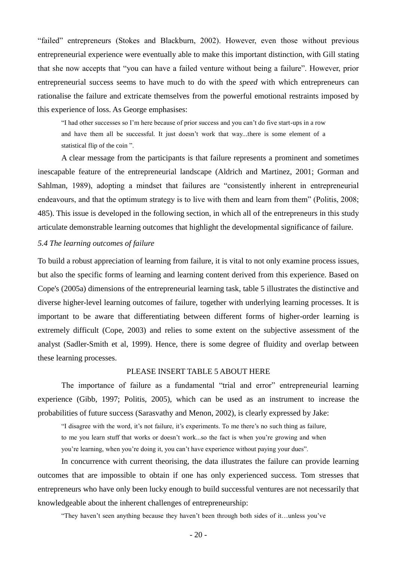―failed‖ entrepreneurs (Stokes and Blackburn, 2002). However, even those without previous entrepreneurial experience were eventually able to make this important distinction, with Gill stating that she now accepts that "you can have a failed venture without being a failure". However, prior entrepreneurial success seems to have much to do with the *speed* with which entrepreneurs can rationalise the failure and extricate themselves from the powerful emotional restraints imposed by this experience of loss. As George emphasises:

"I had other successes so I'm here because of prior success and you can't do five start-ups in a row and have them all be successful. It just doesn't work that way...there is some element of a statistical flip of the coin".

A clear message from the participants is that failure represents a prominent and sometimes inescapable feature of the entrepreneurial landscape (Aldrich and Martinez, 2001; Gorman and Sahlman, 1989), adopting a mindset that failures are "consistently inherent in entrepreneurial endeavours, and that the optimum strategy is to live with them and learn from them" (Politis, 2008; 485). This issue is developed in the following section, in which all of the entrepreneurs in this study articulate demonstrable learning outcomes that highlight the developmental significance of failure.

#### *5.4 The learning outcomes of failure*

To build a robust appreciation of learning from failure, it is vital to not only examine process issues, but also the specific forms of learning and learning content derived from this experience. Based on Cope's (2005a) dimensions of the entrepreneurial learning task, table 5 illustrates the distinctive and diverse higher-level learning outcomes of failure, together with underlying learning processes. It is important to be aware that differentiating between different forms of higher-order learning is extremely difficult (Cope, 2003) and relies to some extent on the subjective assessment of the analyst (Sadler-Smith et al, 1999). Hence, there is some degree of fluidity and overlap between these learning processes.

## PLEASE INSERT TABLE 5 ABOUT HERE

The importance of failure as a fundamental "trial and error" entrepreneurial learning experience (Gibb, 1997; Politis, 2005), which can be used as an instrument to increase the probabilities of future success (Sarasvathy and Menon, 2002), is clearly expressed by Jake:

―I disagree with the word, it's not failure, it's experiments. To me there's no such thing as failure,

to me you learn stuff that works or doesn't work...so the fact is when you're growing and when

you're learning, when you're doing it, you can't have experience without paying your dues".

In concurrence with current theorising, the data illustrates the failure can provide learning outcomes that are impossible to obtain if one has only experienced success. Tom stresses that entrepreneurs who have only been lucky enough to build successful ventures are not necessarily that knowledgeable about the inherent challenges of entrepreneurship:

―They haven't seen anything because they haven't been through both sides of it…unless you've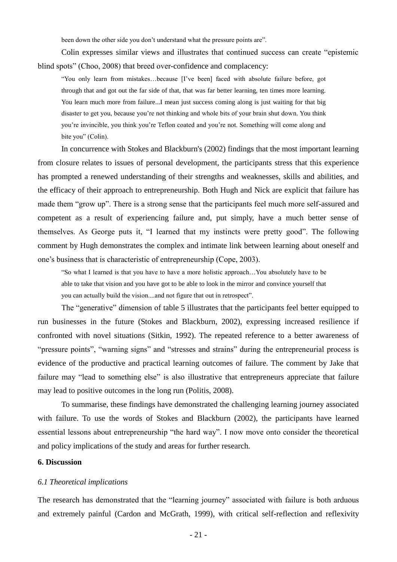been down the other side you don't understand what the pressure points are".

Colin expresses similar views and illustrates that continued success can create "epistemic blind spots" (Choo, 2008) that breed over-confidence and complacency:

―You only learn from mistakes…because [I've been] faced with absolute failure before, got through that and got out the far side of that, that was far better learning, ten times more learning. You learn much more from failure...I mean just success coming along is just waiting for that big disaster to get you, because you're not thinking and whole bits of your brain shut down. You think you're invincible, you think you're Teflon coated and you're not. Something will come along and bite you" (Colin).

In concurrence with Stokes and Blackburn's (2002) findings that the most important learning from closure relates to issues of personal development, the participants stress that this experience has prompted a renewed understanding of their strengths and weaknesses, skills and abilities, and the efficacy of their approach to entrepreneurship. Both Hugh and Nick are explicit that failure has made them "grow up". There is a strong sense that the participants feel much more self-assured and competent as a result of experiencing failure and, put simply, have a much better sense of themselves. As George puts it, "I learned that my instincts were pretty good". The following comment by Hugh demonstrates the complex and intimate link between learning about oneself and one's business that is characteristic of entrepreneurship (Cope, 2003).

―So what I learned is that you have to have a more holistic approach…You absolutely have to be able to take that vision and you have got to be able to look in the mirror and convince yourself that you can actually build the vision....and not figure that out in retrospect".

The "generative" dimension of table 5 illustrates that the participants feel better equipped to run businesses in the future (Stokes and Blackburn, 2002), expressing increased resilience if confronted with novel situations (Sitkin, 1992). The repeated reference to a better awareness of "pressure points", "warning signs" and "stresses and strains" during the entrepreneurial process is evidence of the productive and practical learning outcomes of failure. The comment by Jake that failure may "lead to something else" is also illustrative that entrepreneurs appreciate that failure may lead to positive outcomes in the long run (Politis, 2008).

To summarise, these findings have demonstrated the challenging learning journey associated with failure. To use the words of Stokes and Blackburn (2002), the participants have learned essential lessons about entrepreneurship "the hard way". I now move onto consider the theoretical and policy implications of the study and areas for further research.

#### **6. Discussion**

#### *6.1 Theoretical implications*

The research has demonstrated that the "learning journey" associated with failure is both arduous and extremely painful (Cardon and McGrath, 1999), with critical self-reflection and reflexivity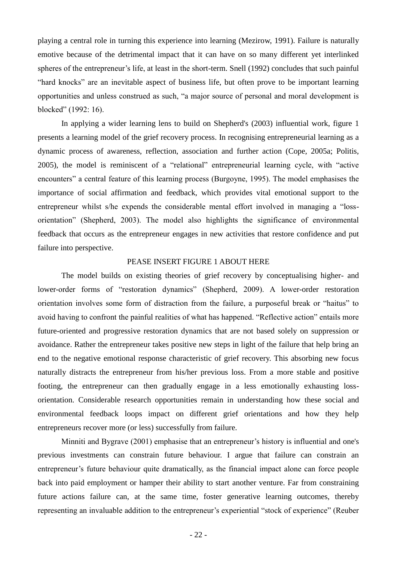playing a central role in turning this experience into learning (Mezirow, 1991). Failure is naturally emotive because of the detrimental impact that it can have on so many different yet interlinked spheres of the entrepreneur's life, at least in the short-term. Snell (1992) concludes that such painful ―hard knocks‖ are an inevitable aspect of business life, but often prove to be important learning opportunities and unless construed as such, "a major source of personal and moral development is blocked" (1992: 16).

In applying a wider learning lens to build on Shepherd's (2003) influential work, figure 1 presents a learning model of the grief recovery process. In recognising entrepreneurial learning as a dynamic process of awareness, reflection, association and further action (Cope, 2005a; Politis, 2005), the model is reminiscent of a "relational" entrepreneurial learning cycle, with "active encounters" a central feature of this learning process (Burgoyne, 1995). The model emphasises the importance of social affirmation and feedback, which provides vital emotional support to the entrepreneur whilst s/he expends the considerable mental effort involved in managing a "lossorientation‖ (Shepherd, 2003). The model also highlights the significance of environmental feedback that occurs as the entrepreneur engages in new activities that restore confidence and put failure into perspective.

#### PEASE INSERT FIGURE 1 ABOUT HERE

The model builds on existing theories of grief recovery by conceptualising higher- and lower-order forms of "restoration dynamics" (Shepherd, 2009). A lower-order restoration orientation involves some form of distraction from the failure, a purposeful break or "haitus" to avoid having to confront the painful realities of what has happened. "Reflective action" entails more future-oriented and progressive restoration dynamics that are not based solely on suppression or avoidance. Rather the entrepreneur takes positive new steps in light of the failure that help bring an end to the negative emotional response characteristic of grief recovery. This absorbing new focus naturally distracts the entrepreneur from his/her previous loss. From a more stable and positive footing, the entrepreneur can then gradually engage in a less emotionally exhausting lossorientation. Considerable research opportunities remain in understanding how these social and environmental feedback loops impact on different grief orientations and how they help entrepreneurs recover more (or less) successfully from failure.

Minniti and Bygrave (2001) emphasise that an entrepreneur's history is influential and one's previous investments can constrain future behaviour. I argue that failure can constrain an entrepreneur's future behaviour quite dramatically, as the financial impact alone can force people back into paid employment or hamper their ability to start another venture. Far from constraining future actions failure can, at the same time, foster generative learning outcomes, thereby representing an invaluable addition to the entrepreneur's experiential "stock of experience" (Reuber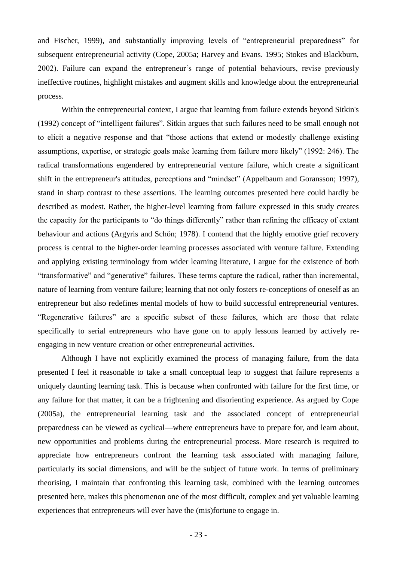and Fischer, 1999), and substantially improving levels of "entrepreneurial preparedness" for subsequent entrepreneurial activity (Cope, 2005a; Harvey and Evans. 1995; Stokes and Blackburn, 2002). Failure can expand the entrepreneur's range of potential behaviours, revise previously ineffective routines, highlight mistakes and augment skills and knowledge about the entrepreneurial process.

Within the entrepreneurial context, I argue that learning from failure extends beyond Sitkin's (1992) concept of "intelligent failures". Sitkin argues that such failures need to be small enough not to elicit a negative response and that "those actions that extend or modestly challenge existing assumptions, expertise, or strategic goals make learning from failure more likely" (1992: 246). The radical transformations engendered by entrepreneurial venture failure, which create a significant shift in the entrepreneur's attitudes, perceptions and "mindset" (Appelbaum and Goransson; 1997), stand in sharp contrast to these assertions. The learning outcomes presented here could hardly be described as modest. Rather, the higher-level learning from failure expressed in this study creates the capacity for the participants to "do things differently" rather than refining the efficacy of extant behaviour and actions (Argyris and Schön; 1978). I contend that the highly emotive grief recovery process is central to the higher-order learning processes associated with venture failure. Extending and applying existing terminology from wider learning literature, I argue for the existence of both "transformative" and "generative" failures. These terms capture the radical, rather than incremental, nature of learning from venture failure; learning that not only fosters re-conceptions of oneself as an entrepreneur but also redefines mental models of how to build successful entrepreneurial ventures. "Regenerative failures" are a specific subset of these failures, which are those that relate specifically to serial entrepreneurs who have gone on to apply lessons learned by actively reengaging in new venture creation or other entrepreneurial activities.

Although I have not explicitly examined the process of managing failure, from the data presented I feel it reasonable to take a small conceptual leap to suggest that failure represents a uniquely daunting learning task. This is because when confronted with failure for the first time, or any failure for that matter, it can be a frightening and disorienting experience. As argued by Cope (2005a), the entrepreneurial learning task and the associated concept of entrepreneurial preparedness can be viewed as cyclical—where entrepreneurs have to prepare for, and learn about, new opportunities and problems during the entrepreneurial process. More research is required to appreciate how entrepreneurs confront the learning task associated with managing failure, particularly its social dimensions, and will be the subject of future work. In terms of preliminary theorising, I maintain that confronting this learning task, combined with the learning outcomes presented here, makes this phenomenon one of the most difficult, complex and yet valuable learning experiences that entrepreneurs will ever have the (mis)fortune to engage in.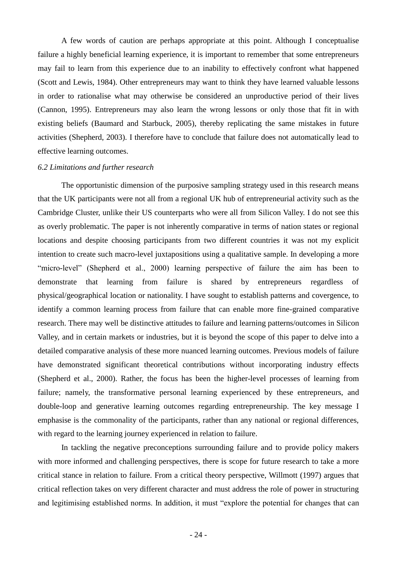A few words of caution are perhaps appropriate at this point. Although I conceptualise failure a highly beneficial learning experience, it is important to remember that some entrepreneurs may fail to learn from this experience due to an inability to effectively confront what happened (Scott and Lewis, 1984). Other entrepreneurs may want to think they have learned valuable lessons in order to rationalise what may otherwise be considered an unproductive period of their lives (Cannon, 1995). Entrepreneurs may also learn the wrong lessons or only those that fit in with existing beliefs (Baumard and Starbuck, 2005), thereby replicating the same mistakes in future activities (Shepherd, 2003). I therefore have to conclude that failure does not automatically lead to effective learning outcomes.

#### *6.2 Limitations and further research*

The opportunistic dimension of the purposive sampling strategy used in this research means that the UK participants were not all from a regional UK hub of entrepreneurial activity such as the Cambridge Cluster, unlike their US counterparts who were all from Silicon Valley. I do not see this as overly problematic. The paper is not inherently comparative in terms of nation states or regional locations and despite choosing participants from two different countries it was not my explicit intention to create such macro-level juxtapositions using a qualitative sample. In developing a more "micro-level" (Shepherd et al., 2000) learning perspective of failure the aim has been to demonstrate that learning from failure is shared by entrepreneurs regardless of physical/geographical location or nationality. I have sought to establish patterns and covergence, to identify a common learning process from failure that can enable more fine-grained comparative research. There may well be distinctive attitudes to failure and learning patterns/outcomes in Silicon Valley, and in certain markets or industries, but it is beyond the scope of this paper to delve into a detailed comparative analysis of these more nuanced learning outcomes. Previous models of failure have demonstrated significant theoretical contributions without incorporating industry effects (Shepherd et al., 2000). Rather, the focus has been the higher-level processes of learning from failure; namely, the transformative personal learning experienced by these entrepreneurs, and double-loop and generative learning outcomes regarding entrepreneurship. The key message I emphasise is the commonality of the participants, rather than any national or regional differences, with regard to the learning journey experienced in relation to failure.

In tackling the negative preconceptions surrounding failure and to provide policy makers with more informed and challenging perspectives, there is scope for future research to take a more critical stance in relation to failure. From a critical theory perspective, Willmott (1997) argues that critical reflection takes on very different character and must address the role of power in structuring and legitimising established norms. In addition, it must "explore the potential for changes that can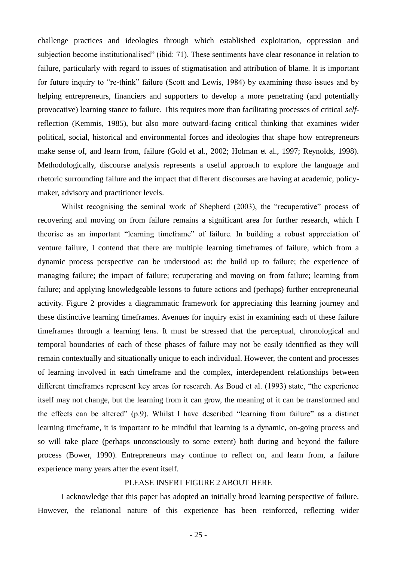challenge practices and ideologies through which established exploitation, oppression and subjection become institutionalised" (ibid: 71). These sentiments have clear resonance in relation to failure, particularly with regard to issues of stigmatisation and attribution of blame. It is important for future inquiry to "re-think" failure (Scott and Lewis, 1984) by examining these issues and by helping entrepreneurs, financiers and supporters to develop a more penetrating (and potentially provocative) learning stance to failure. This requires more than facilitating processes of critical *self*reflection (Kemmis, 1985), but also more outward-facing critical thinking that examines wider political, social, historical and environmental forces and ideologies that shape how entrepreneurs make sense of, and learn from, failure (Gold et al., 2002; Holman et al., 1997; Reynolds, 1998). Methodologically, discourse analysis represents a useful approach to explore the language and rhetoric surrounding failure and the impact that different discourses are having at academic, policymaker, advisory and practitioner levels.

Whilst recognising the seminal work of Shepherd (2003), the "recuperative" process of recovering and moving on from failure remains a significant area for further research, which I theorise as an important "learning timeframe" of failure. In building a robust appreciation of venture failure, I contend that there are multiple learning timeframes of failure, which from a dynamic process perspective can be understood as: the build up to failure; the experience of managing failure; the impact of failure; recuperating and moving on from failure; learning from failure; and applying knowledgeable lessons to future actions and (perhaps) further entrepreneurial activity. Figure 2 provides a diagrammatic framework for appreciating this learning journey and these distinctive learning timeframes. Avenues for inquiry exist in examining each of these failure timeframes through a learning lens. It must be stressed that the perceptual, chronological and temporal boundaries of each of these phases of failure may not be easily identified as they will remain contextually and situationally unique to each individual. However, the content and processes of learning involved in each timeframe and the complex, interdependent relationships between different timeframes represent key areas for research. As Boud et al. (1993) state, "the experience itself may not change, but the learning from it can grow, the meaning of it can be transformed and the effects can be altered"  $(p.9)$ . Whilst I have described "learning from failure" as a distinct learning timeframe, it is important to be mindful that learning is a dynamic, on-going process and so will take place (perhaps unconsciously to some extent) both during and beyond the failure process (Bower, 1990). Entrepreneurs may continue to reflect on, and learn from, a failure experience many years after the event itself.

## PLEASE INSERT FIGURE 2 ABOUT HERE

I acknowledge that this paper has adopted an initially broad learning perspective of failure. However, the relational nature of this experience has been reinforced, reflecting wider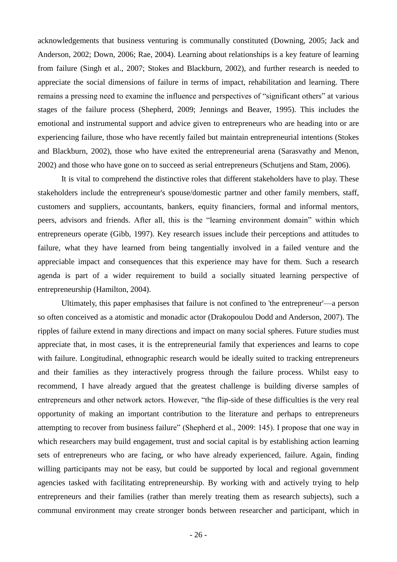acknowledgements that business venturing is communally constituted (Downing, 2005; Jack and Anderson, 2002; Down, 2006; Rae, 2004). Learning about relationships is a key feature of learning from failure (Singh et al., 2007; Stokes and Blackburn, 2002), and further research is needed to appreciate the social dimensions of failure in terms of impact, rehabilitation and learning. There remains a pressing need to examine the influence and perspectives of "significant others" at various stages of the failure process (Shepherd, 2009; Jennings and Beaver, 1995). This includes the emotional and instrumental support and advice given to entrepreneurs who are heading into or are experiencing failure, those who have recently failed but maintain entrepreneurial intentions (Stokes and Blackburn, 2002), those who have exited the entrepreneurial arena (Sarasvathy and Menon, 2002) and those who have gone on to succeed as serial entrepreneurs (Schutjens and Stam, 2006).

It is vital to comprehend the distinctive roles that different stakeholders have to play. These stakeholders include the entrepreneur's spouse/domestic partner and other family members, staff, customers and suppliers, accountants, bankers, equity financiers, formal and informal mentors, peers, advisors and friends. After all, this is the "learning environment domain" within which entrepreneurs operate (Gibb, 1997). Key research issues include their perceptions and attitudes to failure, what they have learned from being tangentially involved in a failed venture and the appreciable impact and consequences that this experience may have for them. Such a research agenda is part of a wider requirement to build a socially situated learning perspective of entrepreneurship (Hamilton, 2004).

Ultimately, this paper emphasises that failure is not confined to 'the entrepreneur'—a person so often conceived as a atomistic and monadic actor (Drakopoulou Dodd and Anderson, 2007). The ripples of failure extend in many directions and impact on many social spheres. Future studies must appreciate that, in most cases, it is the entrepreneurial family that experiences and learns to cope with failure. Longitudinal, ethnographic research would be ideally suited to tracking entrepreneurs and their families as they interactively progress through the failure process. Whilst easy to recommend, I have already argued that the greatest challenge is building diverse samples of entrepreneurs and other network actors. However, "the flip-side of these difficulties is the very real opportunity of making an important contribution to the literature and perhaps to entrepreneurs attempting to recover from business failure" (Shepherd et al., 2009: 145). I propose that one way in which researchers may build engagement, trust and social capital is by establishing action learning sets of entrepreneurs who are facing, or who have already experienced, failure. Again, finding willing participants may not be easy, but could be supported by local and regional government agencies tasked with facilitating entrepreneurship. By working with and actively trying to help entrepreneurs and their families (rather than merely treating them as research subjects), such a communal environment may create stronger bonds between researcher and participant, which in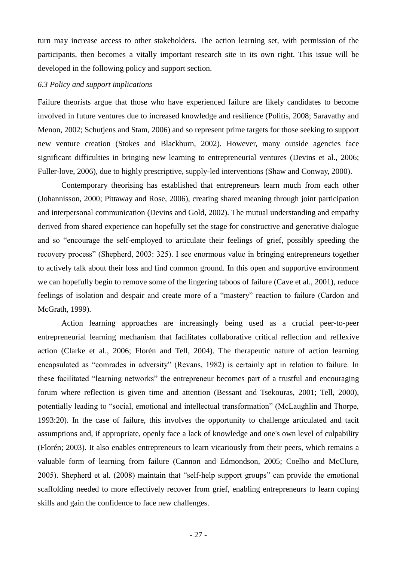turn may increase access to other stakeholders. The action learning set, with permission of the participants, then becomes a vitally important research site in its own right. This issue will be developed in the following policy and support section.

# *6.3 Policy and support implications*

Failure theorists argue that those who have experienced failure are likely candidates to become involved in future ventures due to increased knowledge and resilience (Politis, 2008; Saravathy and Menon, 2002; Schutjens and Stam, 2006) and so represent prime targets for those seeking to support new venture creation (Stokes and Blackburn, 2002). However, many outside agencies face significant difficulties in bringing new learning to entrepreneurial ventures (Devins et al., 2006; Fuller-love, 2006), due to highly prescriptive, supply-led interventions (Shaw and Conway, 2000).

Contemporary theorising has established that entrepreneurs learn much from each other (Johannisson, 2000; Pittaway and Rose, 2006), creating shared meaning through joint participation and interpersonal communication (Devins and Gold, 2002). The mutual understanding and empathy derived from shared experience can hopefully set the stage for constructive and generative dialogue and so "encourage the self-employed to articulate their feelings of grief, possibly speeding the recovery process" (Shepherd, 2003: 325). I see enormous value in bringing entrepreneurs together to actively talk about their loss and find common ground. In this open and supportive environment we can hopefully begin to remove some of the lingering taboos of failure (Cave et al., 2001), reduce feelings of isolation and despair and create more of a "mastery" reaction to failure (Cardon and McGrath, 1999).

Action learning approaches are increasingly being used as a crucial peer-to-peer entrepreneurial learning mechanism that facilitates collaborative critical reflection and reflexive action (Clarke et al., 2006; Florén and Tell, 2004). The therapeutic nature of action learning encapsulated as "comrades in adversity" (Revans, 1982) is certainly apt in relation to failure. In these facilitated "learning networks" the entrepreneur becomes part of a trustful and encouraging forum where reflection is given time and attention (Bessant and Tsekouras, 2001; Tell, 2000), potentially leading to "social, emotional and intellectual transformation" (McLaughlin and Thorpe, 1993:20). In the case of failure, this involves the opportunity to challenge articulated and tacit assumptions and, if appropriate, openly face a lack of knowledge and one's own level of culpability (Florén; 2003). It also enables entrepreneurs to learn vicariously from their peers, which remains a valuable form of learning from failure (Cannon and Edmondson, 2005; Coelho and McClure, 2005). Shepherd et al. (2008) maintain that "self-help support groups" can provide the emotional scaffolding needed to more effectively recover from grief, enabling entrepreneurs to learn coping skills and gain the confidence to face new challenges.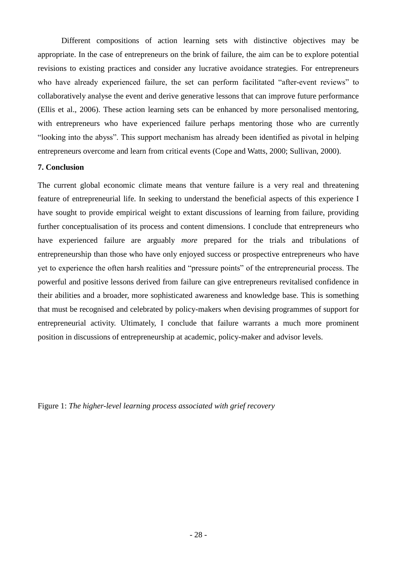Different compositions of action learning sets with distinctive objectives may be appropriate. In the case of entrepreneurs on the brink of failure, the aim can be to explore potential revisions to existing practices and consider any lucrative avoidance strategies. For entrepreneurs who have already experienced failure, the set can perform facilitated "after-event reviews" to collaboratively analyse the event and derive generative lessons that can improve future performance (Ellis et al., 2006). These action learning sets can be enhanced by more personalised mentoring, with entrepreneurs who have experienced failure perhaps mentoring those who are currently "looking into the abyss". This support mechanism has already been identified as pivotal in helping entrepreneurs overcome and learn from critical events (Cope and Watts, 2000; Sullivan, 2000).

# **7. Conclusion**

The current global economic climate means that venture failure is a very real and threatening feature of entrepreneurial life. In seeking to understand the beneficial aspects of this experience I have sought to provide empirical weight to extant discussions of learning from failure, providing further conceptualisation of its process and content dimensions. I conclude that entrepreneurs who have experienced failure are arguably *more* prepared for the trials and tribulations of entrepreneurship than those who have only enjoyed success or prospective entrepreneurs who have yet to experience the often harsh realities and "pressure points" of the entrepreneurial process. The powerful and positive lessons derived from failure can give entrepreneurs revitalised confidence in their abilities and a broader, more sophisticated awareness and knowledge base. This is something that must be recognised and celebrated by policy-makers when devising programmes of support for entrepreneurial activity. Ultimately, I conclude that failure warrants a much more prominent position in discussions of entrepreneurship at academic, policy-maker and advisor levels.

Figure 1: *The higher-level learning process associated with grief recovery*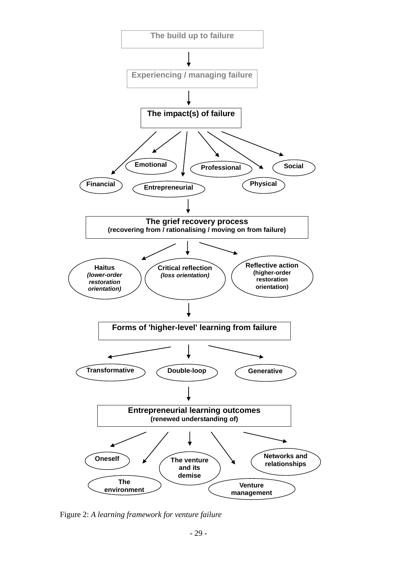

Figure 2: *A learning framework for venture failure*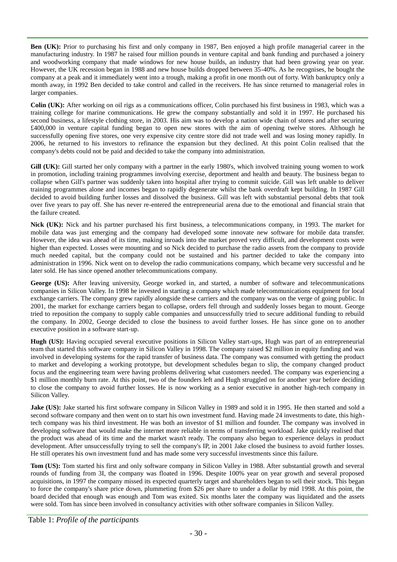**Ben (UK):** Prior to purchasing his first and only company in 1987, Ben enjoyed a high profile managerial career in the manufacturing industry. In 1987 he raised four million pounds in venture capital and bank funding and purchased a joinery and woodworking company that made windows for new house builds, an industry that had been growing year on year. However, the UK recession began in 1988 and new house builds dropped between 35-40%. As he recognises, he bought the company at a peak and it immediately went into a trough, making a profit in one month out of forty. With bankruptcy only a month away, in 1992 Ben decided to take control and called in the receivers. He has since returned to managerial roles in larger companies.

**Colin (UK):** After working on oil rigs as a communications officer, Colin purchased his first business in 1983, which was a training college for marine communications. He grew the company substantially and sold it in 1997. He purchased his second business, a lifestyle clothing store, in 2003. His aim was to develop a nation wide chain of stores and after securing £400,000 in venture capital funding began to open new stores with the aim of opening twelve stores. Although he successfully opening five stores, one very expensive city centre store did not trade well and was losing money rapidly. In 2006, he returned to his investors to refinance the expansion but they declined. At this point Colin realised that the company's debts could not be paid and decided to take the company into administration.

**Gill (UK):** Gill started her only company with a partner in the early 1980's, which involved training young women to work in promotion, including training programmes involving exercise, deportment and health and beauty. The business began to collapse when Gill's partner was suddenly taken into hospital after trying to commit suicide. Gill was left unable to deliver training programmes alone and incomes began to rapidly degenerate whilst the bank overdraft kept building. In 1987 Gill decided to avoid building further losses and dissolved the business. Gill was left with substantial personal debts that took over five years to pay off. She has never re-entered the entrepreneurial arena due to the emotional and financial strain that the failure created.

**Nick (UK):** Nick and his partner purchased his first business, a telecommunications company, in 1993. The market for mobile data was just emerging and the company had developed some innovate new software for mobile data transfer. However, the idea was ahead of its time, making inroads into the market proved very difficult, and development costs were higher than expected. Losses were mounting and so Nick decided to purchase the radio assets from the company to provide much needed capital, but the company could not be sustained and his partner decided to take the company into administration in 1996. Nick went on to develop the radio communications company, which became very successful and he later sold. He has since opened another telecommunications company.

**George (US):** After leaving university, George worked in, and started, a number of software and telecommunications companies in Silicon Valley. In 1998 he invested in starting a company which made telecommunications equipment for local exchange carriers. The company grew rapidly alongside these carriers and the company was on the verge of going public. In 2001, the market for exchange carriers began to collapse, orders fell through and suddenly losses began to mount. George tried to reposition the company to supply cable companies and unsuccessfully tried to secure additional funding to rebuild the company. In 2002, George decided to close the business to avoid further losses. He has since gone on to another executive position in a software start-up.

**Hugh (US):** Having occupied several executive positions in Silicon Valley start-ups, Hugh was part of an entrepreneurial team that started this software company in Silicon Valley in 1998. The company raised \$2 million in equity funding and was involved in developing systems for the rapid transfer of business data. The company was consumed with getting the product to market and developing a working prototype, but development schedules began to slip, the company changed product focus and the engineering team were having problems delivering what customers needed. The company was experiencing a \$1 million monthly burn rate. At this point, two of the founders left and Hugh struggled on for another year before deciding to close the company to avoid further losses. He is now working as a senior executive in another high-tech company in Silicon Valley.

**Jake (US):** Jake started his first software company in Silicon Valley in 1989 and sold it in 1995. He then started and sold a second software company and then went on to start his own investment fund. Having made 24 investments to date, this hightech company was his third investment. He was both an investor of \$1 million and founder. The company was involved in developing software that would make the internet more reliable in terms of transferring workload. Jake quickly realised that the product was ahead of its time and the market wasn't ready. The company also began to experience delays in product development. After unsuccessfully trying to sell the company's IP, in 2001 Jake closed the business to avoid further losses. He still operates his own investment fund and has made some very successful investments since this failure.

**Tom (US):** Tom started his first and only software company in Silicon Valley in 1988. After substantial growth and several rounds of funding from 3I, the company was floated in 1996. Despite 100% year on year growth and several proposed acquisitions, in 1997 the company missed its expected quarterly target and shareholders began to sell their stock. This began to force the company's share price down, plummeting from \$26 per share to under a dollar by mid 1998. At this point, the board decided that enough was enough and Tom was exited. Six months later the company was liquidated and the assets were sold. Tom has since been involved in consultancy activities with other software companies in Silicon Valley.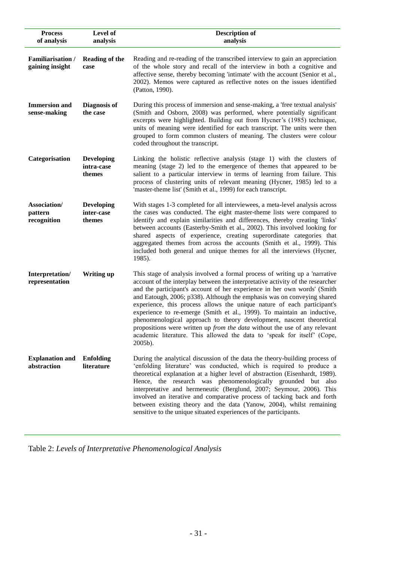| <b>Process</b><br>of analysis          | Level of<br>analysis                      | <b>Description of</b><br>analysis                                                                                                                                                                                                                                                                                                                                                                                                                                                                                                                                                                                                                                                                                             |
|----------------------------------------|-------------------------------------------|-------------------------------------------------------------------------------------------------------------------------------------------------------------------------------------------------------------------------------------------------------------------------------------------------------------------------------------------------------------------------------------------------------------------------------------------------------------------------------------------------------------------------------------------------------------------------------------------------------------------------------------------------------------------------------------------------------------------------------|
| Familiarisation /<br>gaining insight   | <b>Reading of the</b><br>case             | Reading and re-reading of the transcribed interview to gain an appreciation<br>of the whole story and recall of the interview in both a cognitive and<br>affective sense, thereby becoming 'intimate' with the account (Senior et al.,<br>2002). Memos were captured as reflective notes on the issues identified<br>(Patton, 1990).                                                                                                                                                                                                                                                                                                                                                                                          |
| <b>Immersion and</b><br>sense-making   | Diagnosis of<br>the case                  | During this process of immersion and sense-making, a 'free textual analysis'<br>(Smith and Osborn, 2008) was performed, where potentially significant<br>excerpts were highlighted. Building out from Hycner's (1985) technique,<br>units of meaning were identified for each transcript. The units were then<br>grouped to form common clusters of meaning. The clusters were colour<br>coded throughout the transcript.                                                                                                                                                                                                                                                                                                     |
| Categorisation                         | <b>Developing</b><br>intra-case<br>themes | Linking the holistic reflective analysis (stage 1) with the clusters of<br>meaning (stage 2) led to the emergence of themes that appeared to be<br>salient to a particular interview in terms of learning from failure. This<br>process of clustering units of relevant meaning (Hycner, 1985) led to a<br>'master-theme list' (Smith et al., 1999) for each transcript.                                                                                                                                                                                                                                                                                                                                                      |
| Association/<br>pattern<br>recognition | <b>Developing</b><br>inter-case<br>themes | With stages 1-3 completed for all interviewees, a meta-level analysis across<br>the cases was conducted. The eight master-theme lists were compared to<br>identify and explain similarities and differences, thereby creating 'links'<br>between accounts (Easterby-Smith et al., 2002). This involved looking for<br>shared aspects of experience, creating superordinate categories that<br>aggregated themes from across the accounts (Smith et al., 1999). This<br>included both general and unique themes for all the interviews (Hycner,<br>1985).                                                                                                                                                                      |
| Interpretation/<br>representation      | <b>Writing up</b>                         | This stage of analysis involved a formal process of writing up a 'narrative<br>account of the interplay between the interpretative activity of the researcher<br>and the participant's account of her experience in her own words' (Smith<br>and Eatough, 2006; p338). Although the emphasis was on conveying shared<br>experience, this process allows the unique nature of each participant's<br>experience to re-emerge (Smith et al., 1999). To maintain an inductive,<br>phenomenological approach to theory development, nascent theoretical<br>propositions were written up <i>from the data</i> without the use of any relevant<br>academic literature. This allowed the data to 'speak for itself' (Cope,<br>2005b). |
| <b>Explanation and</b><br>abstraction  | <b>Enfolding</b><br>literature            | During the analytical discussion of the data the theory-building process of<br>'enfolding literature' was conducted, which is required to produce a<br>theoretical explanation at a higher level of abstraction (Eisenhardt, 1989).<br>Hence, the research was phenomenologically grounded but also<br>interpretative and hermeneutic (Berglund, 2007; Seymour, 2006). This<br>involved an iterative and comparative process of tacking back and forth<br>between existing theory and the data (Yanow, 2004), whilst remaining<br>sensitive to the unique situated experiences of the participants.                                                                                                                           |

Table 2: *Levels of Interpretative Phenomenological Analysis*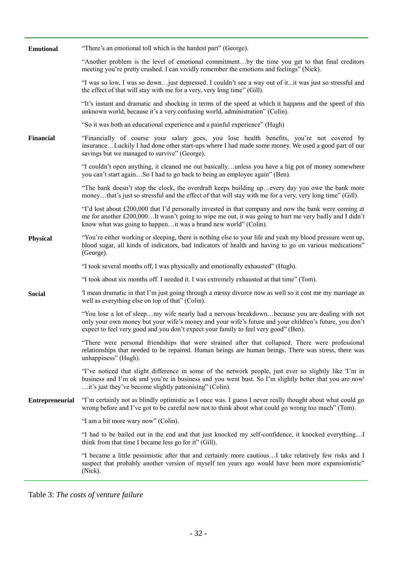| <b>Emotional</b>       | "There's an emotional toll which is the hardest part" (George).                                                                                                                                                                                                                                 |
|------------------------|-------------------------------------------------------------------------------------------------------------------------------------------------------------------------------------------------------------------------------------------------------------------------------------------------|
|                        | "Another problem is the level of emotional commitmentby the time you get to that final creditors<br>meeting you're pretty crushed. I can vividly remember the emotions and feelings" (Nick).                                                                                                    |
|                        | "I was so low, I was so downjust depressed. I couldn't see a way out of itit was just so stressful and<br>the effect of that will stay with me for a very, very long time" (Gill).                                                                                                              |
|                        | "It's instant and dramatic and shocking in terms of the speed at which it happens and the speed of this<br>unknown world, because it's a very confusing world, administration" (Colin).                                                                                                         |
|                        | "So it was both an educational experience and a painful experience" (Hugh)                                                                                                                                                                                                                      |
| <b>Financial</b>       | "Financially of course your salary goes, you lose health benefits, you're not covered by<br>insuranceLuckily I had done other start-ups where I had made some money. We used a good part of our<br>savings but we managed to survive" (George).                                                 |
|                        | "I couldn't open anything, it cleaned me out basicallyunless you have a big pot of money somewhere<br>you can't start againSo I had to go back to being an employee again" (Ben).                                                                                                               |
|                        | "The bank doesn't stop the clock, the overdraft keeps building upevery day you owe the bank more<br>moneythat's just so stressful and the effect of that will stay with me for a very, very long time" (Gill).                                                                                  |
|                        | "I'd lost about £200,000 that I'd personally invested in that company and now the bank were coming at<br>me for another £200,000It wasn't going to wipe me out, it was going to hurt me very badly and I didn't<br>know what was going to happenit was a brand new world" (Colin).              |
| <b>Physical</b>        | "You're either working or sleeping, there is nothing else to your life and yeah my blood pressure went up,<br>blood sugar, all kinds of indicators, bad indicators of health and having to go on various medications"<br>(George).                                                              |
|                        | "I took several months off, I was physically and emotionally exhausted" (Hugh).                                                                                                                                                                                                                 |
|                        | "I took about six months off. I needed it. I was extremely exhausted at that time" (Tom).                                                                                                                                                                                                       |
| <b>Social</b>          | 'I mean dramatic in that I'm just going through a messy divorce now as well so it cost me my marriage as<br>well as everything else on top of that" (Colin).                                                                                                                                    |
|                        | "You lose a lot of sleepmy wife nearly had a nervous breakdownbecause you are dealing with not<br>only your own money but your wife's money and your wife's future and your children's future, you don't<br>expect to feel very good and you don't expect your family to feel very good" (Ben). |
|                        | "There were personal friendships that were strained after that collapsed. There were professional<br>relationships that needed to be repaired. Human beings are human beings. There was stress, there was<br>unhappiness" (Hugh).                                                               |
|                        | "I've noticed that slight difference in some of the network people, just ever so slightly like 'I'm in<br>business and I'm ok and you're in business and you went bust. So I'm slightly better that you are now'<br>it's just they've become slightly patronising" (Colin).                     |
| <b>Entrepreneurial</b> | "I'm certainly not as blindly optimistic as I once was. I guess I never really thought about what could go<br>wrong before and I've got to be careful now not to think about what could go wrong too much" (Tom).                                                                               |
|                        | "I am a bit more wary now" (Colin).                                                                                                                                                                                                                                                             |
|                        | "I had to be bailed out in the end and that just knocked my self-confidence, it knocked everythingI<br>think from that time I became less go for it" (Gill).                                                                                                                                    |
|                        | "I became a little pessimistic after that and certainly more cautiousI take relatively few risks and I<br>suspect that probably another version of myself ten years ago would have been more expansionistic"<br>(Nick).                                                                         |

Table 3: *The costs of venture failure*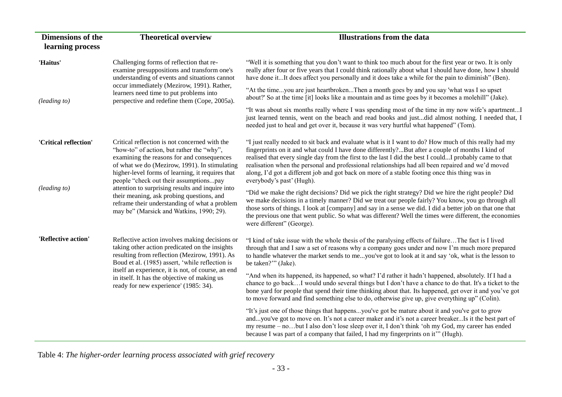| <b>Dimensions of the</b><br>learning process                                                                                                                                                               | <b>Theoretical overview</b>                                                                                                                                                                                                                                                             | <b>Illustrations from the data</b>                                                                                                                                                                                                                                                                                                                                                                                                                                                                                                                        |
|------------------------------------------------------------------------------------------------------------------------------------------------------------------------------------------------------------|-----------------------------------------------------------------------------------------------------------------------------------------------------------------------------------------------------------------------------------------------------------------------------------------|-----------------------------------------------------------------------------------------------------------------------------------------------------------------------------------------------------------------------------------------------------------------------------------------------------------------------------------------------------------------------------------------------------------------------------------------------------------------------------------------------------------------------------------------------------------|
| 'Haitus'                                                                                                                                                                                                   | Challenging forms of reflection that re-<br>examine presuppositions and transform one's<br>understanding of events and situations cannot                                                                                                                                                | "Well it is something that you don't want to think too much about for the first year or two. It is only<br>really after four or five years that I could think rationally about what I should have done, how I should<br>have done itIt does affect you personally and it does take a while for the pain to diminish" (Ben).                                                                                                                                                                                                                               |
| (leading to)                                                                                                                                                                                               | occur immediately (Mezirow, 1991). Rather,<br>learners need time to put problems into<br>perspective and redefine them (Cope, 2005a).                                                                                                                                                   | "At the timeyou are just heartbrokenThen a month goes by and you say 'what was I so upset<br>about?' So at the time [it] looks like a mountain and as time goes by it becomes a molehill" (Jake).                                                                                                                                                                                                                                                                                                                                                         |
|                                                                                                                                                                                                            |                                                                                                                                                                                                                                                                                         | "It was about six months really where I was spending most of the time in my now wife's apartmentI<br>just learned tennis, went on the beach and read books and justdid almost nothing. I needed that, I<br>needed just to heal and get over it, because it was very hurtful what happened" (Tom).                                                                                                                                                                                                                                                         |
| 'Critical reflection'                                                                                                                                                                                      | Critical reflection is not concerned with the<br>"how-to" of action, but rather the "why",<br>examining the reasons for and consequences<br>of what we do (Mezirow, 1991). In stimulating<br>higher-level forms of learning, it requires that<br>people "check out their assumptionspay | "I just really needed to sit back and evaluate what is it I want to do? How much of this really had my<br>fingerprints on it and what could I have done differently?But after a couple of months I kind of<br>realised that every single day from the first to the last I did the best I couldI probably came to that<br>realisation when the personal and professional relationships had all been repaired and we'd moved<br>along, I'd got a different job and got back on more of a stable footing once this thing was in<br>everybody's past' (Hugh). |
| attention to surprising results and inquire into<br>(leading~to)<br>their meaning, ask probing questions, and<br>reframe their understanding of what a problem<br>may be" (Marsick and Watkins, 1990; 29). |                                                                                                                                                                                                                                                                                         | "Did we make the right decisions? Did we pick the right strategy? Did we hire the right people? Did<br>we make decisions in a timely manner? Did we treat our people fairly? You know, you go through all<br>those sorts of things. I look at [company] and say in a sense we did. I did a better job on that one that<br>the previous one that went public. So what was different? Well the times were different, the economies<br>were different" (George).                                                                                             |
| 'Reflective action'                                                                                                                                                                                        | Reflective action involves making decisions or<br>taking other action predicated on the insights<br>resulting from reflection (Mezirow, 1991). As<br>Boud et al. (1985) assert, 'while reflection is                                                                                    | "I kind of take issue with the whole thesis of the paralysing effects of failureThe fact is I lived<br>through that and I saw a set of reasons why a company goes under and now I'm much more prepared<br>to handle whatever the market sends to meyou've got to look at it and say 'ok, what is the lesson to<br>be taken?"" (Jake).                                                                                                                                                                                                                     |
|                                                                                                                                                                                                            | itself an experience, it is not, of course, an end<br>in itself. It has the objective of making us<br>ready for new experience' (1985: 34).                                                                                                                                             | "And when its happened, its happened, so what? I'd rather it hadn't happened, absolutely. If I had a<br>chance to go backI would undo several things but I don't have a chance to do that. It's a ticket to the<br>bone yard for people that spend their time thinking about that. Its happened, get over it and you've got<br>to move forward and find something else to do, otherwise give up, give everything up" (Colin).                                                                                                                             |
|                                                                                                                                                                                                            |                                                                                                                                                                                                                                                                                         | "It's just one of those things that happensyou've got be mature about it and you've got to grow<br>andyou've got to move on. It's not a career maker and it's not a career breakerIs it the best part of<br>my resume – nobut I also don't lose sleep over it, I don't think 'oh my God, my career has ended<br>because I was part of a company that failed, I had my fingerprints on it" (Hugh).                                                                                                                                                         |

Table 4: *The higher-order learning process associated with grief recovery*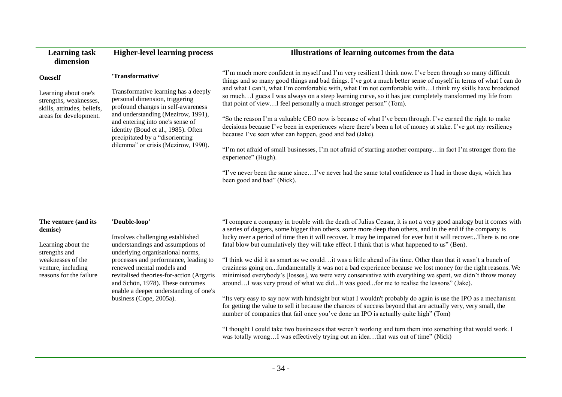| <b>Learning task</b><br>dimension                                                                       | <b>Higher-level learning process</b>                                                                                                                                                                                                                                                                     | Illustrations of learning outcomes from the data                                                                                                                                                                                                                                                                                                                                                                                                                                                                               |
|---------------------------------------------------------------------------------------------------------|----------------------------------------------------------------------------------------------------------------------------------------------------------------------------------------------------------------------------------------------------------------------------------------------------------|--------------------------------------------------------------------------------------------------------------------------------------------------------------------------------------------------------------------------------------------------------------------------------------------------------------------------------------------------------------------------------------------------------------------------------------------------------------------------------------------------------------------------------|
| <b>Oneself</b>                                                                                          | 'Transformative'                                                                                                                                                                                                                                                                                         | "I'm much more confident in myself and I'm very resilient I think now. I've been through so many difficult<br>things and so many good things and bad things. I've got a much better sense of myself in terms of what I can do<br>and what I can't, what I'm comfortable with, what I'm not comfortable withI think my skills have broadened<br>so muchI guess I was always on a steep learning curve, so it has just completely transformed my life from<br>that point of viewI feel personally a much stronger person" (Tom). |
| Learning about one's<br>strengths, weaknesses,<br>skills, attitudes, beliefs,<br>areas for development. | Transformative learning has a deeply<br>personal dimension, triggering<br>profound changes in self-awareness<br>and understanding (Mezirow, 1991),<br>and entering into one's sense of<br>identity (Boud et al., 1985). Often<br>precipitated by a "disorienting"<br>dilemma" or crisis (Mezirow, 1990). |                                                                                                                                                                                                                                                                                                                                                                                                                                                                                                                                |
|                                                                                                         |                                                                                                                                                                                                                                                                                                          | "So the reason I'm a valuable CEO now is because of what I've been through. I've earned the right to make<br>decisions because I've been in experiences where there's been a lot of money at stake. I've got my resiliency<br>because I've seen what can happen, good and bad (Jake).                                                                                                                                                                                                                                          |
|                                                                                                         |                                                                                                                                                                                                                                                                                                          | "I'm not afraid of small businesses, I'm not afraid of starting another companyin fact I'm stronger from the<br>experience" (Hugh).                                                                                                                                                                                                                                                                                                                                                                                            |
|                                                                                                         |                                                                                                                                                                                                                                                                                                          | "I've never been the same sinceI've never had the same total confidence as I had in those days, which has<br>been good and bad" (Nick).                                                                                                                                                                                                                                                                                                                                                                                        |

|         | The venture (and its |  |
|---------|----------------------|--|
| demise) |                      |  |

Learning about the strengths and weaknesses of the

venture, including reasons for the failure **'Double-loop'**

Involves challenging established understandings and assumptions of underlying organisational norms, processes and performance, leading to renewed mental models and revitalised theories-for-action (Argyris and Schön, 1978). These outcomes enable a deeper understanding of one's business (Cope, 2005a).

―I compare a company in trouble with the death of Julius Ceasar, it is not a very good analogy but it comes with a series of daggers, some bigger than others, some more deep than others, and in the end if the company is lucky over a period of time then it will recover. It may be impaired for ever but it will recover...There is no one fatal blow but cumulatively they will take effect. I think that is what happened to us" (Ben).

―I think we did it as smart as we could…it was a little ahead of its time. Other than that it wasn't a bunch of craziness going on...fundamentally it was not a bad experience because we lost money for the right reasons. We minimised everybody's [losses], we were very conservative with everything we spent, we didn't throw money around...I was very proud of what we did...It was good...for me to realise the lessons" (Jake).

―Its very easy to say now with hindsight but what I wouldn't probably do again is use the IPO as a mechanism for getting the value to sell it because the chances of success beyond that are actually very, very small, the number of companies that fail once you've done an IPO is actually quite high" (Tom)

―I thought I could take two businesses that weren't working and turn them into something that would work. I was totally wrong…I was effectively trying out an idea…that was out of time" (Nick)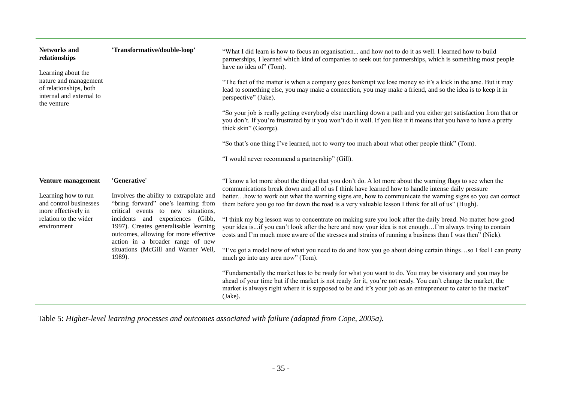| Networks and<br>relationships<br>Learning about the<br>nature and management<br>of relationships, both<br>internal and external to<br>the venture | 'Transformative/double-loop'                                                                                                                                                                                                                                                                                                                       | "What I did learn is how to focus an organisation and how not to do it as well. I learned how to build<br>partnerships, I learned which kind of companies to seek out for partnerships, which is something most people<br>have no idea of" (Tom).<br>"The fact of the matter is when a company goes bankrupt we lose money so it's a kick in the arse. But it may<br>lead to something else, you may make a connection, you may make a friend, and so the idea is to keep it in<br>perspective" (Jake).<br>"So your job is really getting everybody else marching down a path and you either get satisfaction from that or<br>you don't. If you're frustrated by it you won't do it well. If you like it it means that you have to have a pretty<br>thick skin" (George).<br>"So that's one thing I've learned, not to worry too much about what other people think" (Tom).<br>"I would never recommend a partnership" (Gill).                                                                                                                                                                                                                                                                                                                                                      |
|---------------------------------------------------------------------------------------------------------------------------------------------------|----------------------------------------------------------------------------------------------------------------------------------------------------------------------------------------------------------------------------------------------------------------------------------------------------------------------------------------------------|-------------------------------------------------------------------------------------------------------------------------------------------------------------------------------------------------------------------------------------------------------------------------------------------------------------------------------------------------------------------------------------------------------------------------------------------------------------------------------------------------------------------------------------------------------------------------------------------------------------------------------------------------------------------------------------------------------------------------------------------------------------------------------------------------------------------------------------------------------------------------------------------------------------------------------------------------------------------------------------------------------------------------------------------------------------------------------------------------------------------------------------------------------------------------------------------------------------------------------------------------------------------------------------|
| Venture management<br>Learning how to run<br>and control businesses<br>more effectively in<br>relation to the wider<br>environment                | 'Generative'<br>Involves the ability to extrapolate and<br>"bring forward" one's learning from<br>critical events to new situations,<br>(Gibb,<br>incidents and experiences<br>1997). Creates generalisable learning<br>outcomes, allowing for more effective<br>action in a broader range of new<br>situations (McGill and Warner Weil,<br>1989). | "I know a lot more about the things that you don't do. A lot more about the warning flags to see when the<br>communications break down and all of us I think have learned how to handle intense daily pressure<br>betterhow to work out what the warning signs are, how to communicate the warning signs so you can correct<br>them before you go too far down the road is a very valuable lesson I think for all of us" (Hugh).<br>"I think my big lesson was to concentrate on making sure you look after the daily bread. No matter how good<br>your idea isif you can't look after the here and now your idea is not enoughI'm always trying to contain<br>costs and I'm much more aware of the stresses and strains of running a business than I was then" (Nick).<br>"I've got a model now of what you need to do and how you go about doing certain thingsso I feel I can pretty<br>much go into any area now" (Tom).<br>"Fundamentally the market has to be ready for what you want to do. You may be visionary and you may be<br>ahead of your time but if the market is not ready for it, you're not ready. You can't change the market, the<br>market is always right where it is supposed to be and it's your job as an entrepreneur to cater to the market"<br>(Jake). |

Table 5: *Higher-level learning processes and outcomes associated with failure (adapted from Cope, 2005a).*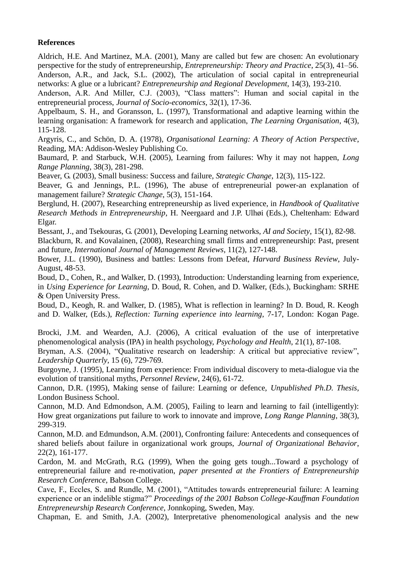# **References**

Aldrich, H.E. And Martinez, M.A. (2001), Many are called but few are chosen: An evolutionary perspective for the study of entrepreneurship, *Entrepreneurship: Theory and Practice*, 25(3), 41–56. Anderson, A.R., and Jack, S.L. (2002), The articulation of social capital in entrepreneurial networks: A glue or a lubricant? *Entrepreneurship and Regional Development*, 14(3), 193-210.

Anderson, A.R. And Miller, C.J. (2003), "Class matters": Human and social capital in the entrepreneurial process, *Journal of Socio-economics*, 32(1), 17-36.

Appelbaum, S. H., and Goransson, L. (1997), Transformational and adaptive learning within the learning organisation: A framework for research and application, *The Learning Organisation*, 4(3), 115-128.

Argyris, C., and Schön, D. A. (1978), *Organisational Learning: A Theory of Action Perspective*, Reading, MA: Addison-Wesley Publishing Co.

Baumard, P. and Starbuck, W.H. (2005), Learning from failures: Why it may not happen, *Long Range Planning*, 38(3), 281-298.

Beaver, G. (2003), Small business: Success and failure, *Strategic Change*, 12(3), 115-122.

Beaver, G. and Jennings, P.L. (1996), The abuse of entrepreneurial power-an explanation of management failure? *Strategic Change*, 5(3), 151-164.

Berglund, H. (2007), Researching entrepreneurship as lived experience, in *Handbook of Qualitative Research Methods in Entrepreneurship*, H. Neergaard and J.P. Ulhøi (Eds.), Cheltenham: Edward Elgar.

Bessant, J., and Tsekouras, G. (2001), Developing Learning networks, *AI and Society*, 15(1), 82-98. Blackburn, R. and Kovalainen, (2008), Researching small firms and entrepreneurship: Past, present and future, *International Journal of Management Reviews*, 11(2), 127-148.

Bower, J.L. (1990), Business and battles: Lessons from Defeat, *Harvard Business Review*, July-August, 48-53.

Boud, D., Cohen, R., and Walker, D. (1993), Introduction: Understanding learning from experience, in *Using Experience for Learning*, D. Boud, R. Cohen, and D. Walker, (Eds.), Buckingham: SRHE & Open University Press.

Boud, D., Keogh, R. and Walker, D. (1985), What is reflection in learning? In D. Boud, R. Keogh and D. Walker, (Eds.), *Reflection: Turning experience into learning*, 7-17, London: Kogan Page.

Brocki, J.M. and Wearden, A.J. (2006), A critical evaluation of the use of interpretative phenomenological analysis (IPA) in health psychology, *Psychology and Health*, 21(1), 87-108.

Bryman, A.S. (2004), "Qualitative research on leadership: A critical but appreciative review", *Leadership Quarterly*, 15 (6), 729-769.

Burgoyne, J. (1995), Learning from experience: From individual discovery to meta-dialogue via the evolution of transitional myths, *Personnel Review*, 24(6), 61-72.

Cannon, D.R. (1995), Making sense of failure: Learning or defence, *Unpublished Ph.D. Thesis,*  London Business School.

Cannon, M.D. And Edmondson, A.M. (2005), Failing to learn and learning to fail (intelligently): How great organizations put failure to work to innovate and improve, *Long Range Planning*, 38(3), 299-319.

Cannon, M.D. and Edmundson, A.M. (2001), Confronting failure: Antecedents and consequences of shared beliefs about failure in organizational work groups, *Journal of Organizational Behavior*, 22(2), 161-177.

Cardon, M. and McGrath, R.G. (1999), When the going gets tough...Toward a psychology of entrepreneurial failure and re-motivation, *paper presented at the Frontiers of Entrepreneurship Research Conference*, Babson College.

Cave, F., Eccles, S. and Rundle, M. (2001), "Attitudes towards entrepreneurial failure: A learning experience or an indelible stigma?" *Proceedings of the 2001 Babson College-Kauffman Foundation Entrepreneurship Research Conference*, Jonnkoping, Sweden, May.

Chapman, E. and Smith, J.A. (2002), Interpretative phenomenological analysis and the new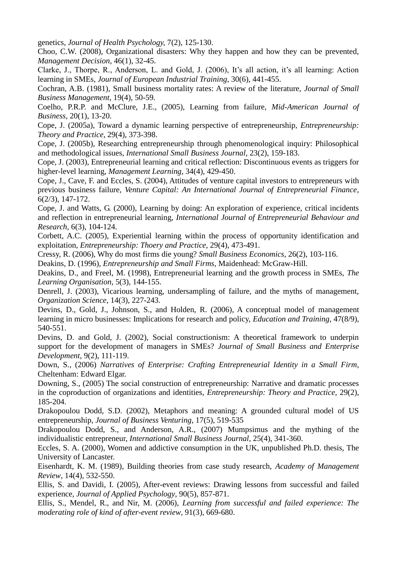genetics, *Journal of Health Psychology,* 7(2), 125-130.

Choo, C.W. (2008), Organizational disasters: Why they happen and how they can be prevented, *Management Decision*, 46(1), 32-45.

Clarke, J., Thorpe, R., Anderson, L. and Gold, J. (2006), It's all action, it's all learning: Action learning in SMEs, *Journal of European Industrial Training*, 30(6), 441-455.

Cochran, A.B. (1981), Small business mortality rates: A review of the literature, *Journal of Small Business Management*, 19(4), 50-59.

Coelho, P.R.P. and McClure, J.E., (2005), Learning from failure, *Mid-American Journal of Business*, 20(1), 13-20.

Cope, J. (2005a), Toward a dynamic learning perspective of entrepreneurship, *Entrepreneurship: Theory and Practice*, 29(4), 373-398.

Cope, J. (2005b), Researching entrepreneurship through phenomenological inquiry: Philosophical and methodological issues, *International Small Business Journal*, 23(2), 159-183.

Cope, J. (2003), Entrepreneurial learning and critical reflection: Discontinuous events as triggers for higher-level learning, *Management Learning*, 34(4), 429-450.

Cope, J., Cave, F. and Eccles, S. (2004), Attitudes of venture capital investors to entrepreneurs with previous business failure, *Venture Capital: An International Journal of Entrepreneurial Finance*, 6(2/3), 147-172.

Cope, J. and Watts, G. (2000), Learning by doing: An exploration of experience, critical incidents and reflection in entrepreneurial learning, *International Journal of Entrepreneurial Behaviour and Research*, 6(3), 104-124.

Corbett, A.C. (2005), Experiential learning within the process of opportunity identification and exploitation, *Entrepreneurship: Thoery and Practice*, 29(4), 473-491.

Cressy, R. (2006), Why do most firms die young? *Small Business Economics*, 26(2), 103-116.

Deakins, D. (1996), *Entrepreneurship and Small Firms*, Maidenhead: McGraw-Hill.

Deakins, D., and Freel, M. (1998), Entrepreneurial learning and the growth process in SMEs, *The Learning Organisation*, 5(3), 144-155.

Denrell, J. (2003), Vicarious learning, undersampling of failure, and the myths of management, *Organization Science*, 14(3), 227-243.

Devins, D., Gold, J., Johnson, S., and Holden, R. (2006), A conceptual model of management learning in micro businesses: Implications for research and policy, *Education and Training*, 47(8/9), 540-551.

Devins, D. and Gold, J. (2002), Social constructionism: A theoretical framework to underpin support for the development of managers in SMEs? *Journal of Small Business and Enterprise Development*, 9(2), 111-119.

Down, S., (2006) *Narratives of Enterprise: Crafting Entrepreneurial Identity in a Small Firm*, Cheltenham: Edward Elgar.

Downing, S., (2005) The social construction of entrepreneurship: Narrative and dramatic processes in the coproduction of organizations and identities, *Entrepreneurship: Theory and Practice*, 29(2), 185-204.

Drakopoulou Dodd, S.D. (2002), Metaphors and meaning: A grounded cultural model of US entrepreneurship, *Journal of Business Venturing*, 17(5), 519-535

Drakopoulou Dodd, S., and Anderson, A.R., (2007) Mumpsimus and the mything of the individualistic entrepreneur, *International Small Business Journal*, 25(4), 341-360.

Eccles, S. A. (2000), Women and addictive consumption in the UK, unpublished Ph.D. thesis, The University of Lancaster.

Eisenhardt, K. M. (1989), Building theories from case study research, *Academy of Management Review*, 14(4), 532-550.

Ellis, S. and Davidi, I. (2005), After-event reviews: Drawing lessons from successful and failed experience, *Journal of Applied Psychology*, 90(5), 857-871.

Ellis, S., Mendel, R., and Nir, M. (2006), *Learning from successful and failed experience: The moderating role of kind of after-event review*, 91(3), 669-680.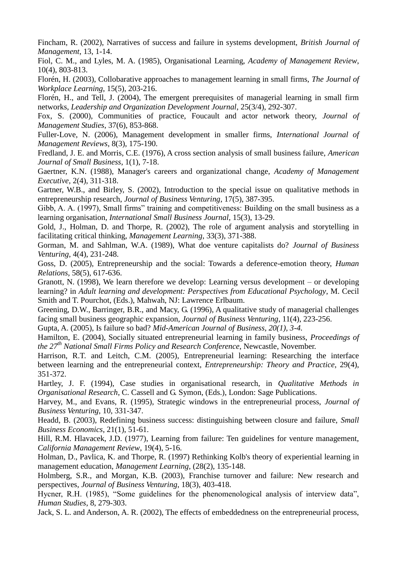Fincham, R. (2002), Narratives of success and failure in systems development, *British Journal of Management*, 13, 1-14.

Fiol, C. M., and Lyles, M. A. (1985), Organisational Learning, *Academy of Management Review*, 10(4), 803-813.

Florén, H. (2003), Collobarative approaches to management learning in small firms, *The Journal of Workplace Learning*, 15(5), 203-216.

Florén, H., and Tell, J. (2004), The emergent prerequisites of managerial learning in small firm networks, *Leadership and Organization Development Journal*, 25(3/4), 292-307.

Fox, S. (2000), Communities of practice, Foucault and actor network theory, *Journal of Management Studies*, 37(6), 853-868.

Fuller-Love, N. (2006), Management development in smaller firms, *International Journal of Management Reviews*, 8(3), 175-190.

Fredland, J. E. and Morris, C.E. (1976), A cross section analysis of small business failure, *American Journal of Small Business*, 1(1), 7-18.

Gaertner, K.N. (1988), Manager's careers and organizational change, *Academy of Management Executive*, 2(4), 311-318.

Gartner, W.B., and Birley, S. (2002), Introduction to the special issue on qualitative methods in entrepreneurship research, *Journal of Business Venturing*, 17(5), 387-395.

Gibb, A. A. (1997), Small firms" training and competitiveness: Building on the small business as a learning organisation, *International Small Business Journal*, 15(3), 13-29.

Gold, J., Holman, D. and Thorpe, R. (2002), The role of argument analysis and storytelling in facilitating critical thinking, *Management Learning*, 33(3), 371-388.

Gorman, M. and Sahlman, W.A. (1989), What doe venture capitalists do? *Journal of Business Venturing*, 4(4), 231-248.

Goss, D. (2005), Entrepreneurship and the social: Towards a deference-emotion theory, *Human Relations,* 58(5), 617-636.

Granott, N. (1998), We learn therefore we develop: Learning versus development – or developing learning? in *Adult learning and development: Perspectives from Educational Psychology*, M. Cecil Smith and T. Pourchot, (Eds.), Mahwah, NJ: Lawrence Erlbaum.

Greening, D.W., Barringer, B.R., and Macy, G. (1996), A qualitative study of managerial challenges facing small business geographic expansion, *Journal of Business Venturing*, 11(4), 223-256.

Gupta, A. (2005), Is failure so bad? *Mid-American Journal of Business, 20(1), 3-4.*

Hamilton, E. (2004), Socially situated entrepreneurial learning in family business, *Proceedings of the 27th National Small Firms Policy and Research Conference*, Newcastle, November.

Harrison, R.T. and Leitch, C.M. (2005), Entrepreneurial learning: Researching the interface between learning and the entrepreneurial context, *Entrepreneurship: Theory and Practice*, 29(4), 351-372.

Hartley, J. F. (1994), Case studies in organisational research, in *Qualitative Methods in Organisational Research*, C. Cassell and G. Symon, (Eds.), London: Sage Publications.

Harvey, M., and Evans, R. (1995), Strategic windows in the entrepreneurial process, *Journal of Business Venturing*, 10, 331-347.

Headd, B. (2003), Redefining business success: distinguishing between closure and failure, *Small Business Economics*, 21(1), 51-61.

Hill, R.M. Hlavacek, J.D. (1977), Learning from failure: Ten guidelines for venture management, *California Management Review*, 19(4), 5-16.

Holman, D., Pavlica, K. and Thorpe, R. (1997) Rethinking Kolb's theory of experiential learning in management education, *Management Learning*,  $(28(2), 135-148$ .

Holmberg, S.R., and Morgan, K.B. (2003), Franchise turnover and failure: New research and perspectives, *Journal of Business Venturing*, 18(3), 403-418.

Hycner, R.H. (1985), "Some guidelines for the phenomenological analysis of interview data", *Human Studies*, 8, 279-303.

Jack, S. L. and Anderson, A. R. (2002), The effects of embeddedness on the entrepreneurial process,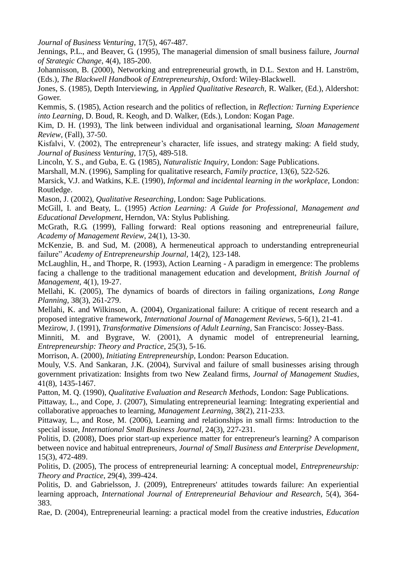*Journal of Business Venturing*, 17(5), 467-487.

Jennings, P.L., and Beaver, G. (1995), The managerial dimension of small business failure, *Journal of Strategic Change*, 4(4), 185-200.

Johannisson, B. (2000), Networking and entrepreneurial growth, in D.L. Sexton and H. Lanström, (Eds.), *The Blackwell Handbook of Entrepreneurship*, Oxford: Wiley-Blackwell.

Jones, S. (1985), Depth Interviewing, in *Applied Qualitative Research,* R. Walker, (Ed.), Aldershot: Gower.

Kemmis, S. (1985), Action research and the politics of reflection, in *Reflection: Turning Experience into Learning*, D. Boud, R. Keogh, and D. Walker, (Eds.), London: Kogan Page.

Kim, D. H. (1993), The link between individual and organisational learning, *Sloan Management Review*, (Fall), 37-50.

Kisfalvi, V. (2002), The entrepreneur's character, life issues, and strategy making: A field study, *Journal of Business Venturing*, 17(5), 489-518.

Lincoln, Y. S., and Guba, E. G. (1985), *Naturalistic Inquiry*, London: Sage Publications.

Marshall, M.N. (1996), Sampling for qualitative research, *Family practice*, 13(6), 522-526.

Marsick, V.J. and Watkins, K.E. (1990), *Informal and incidental learning in the workplace*, London: Routledge.

Mason, J. (2002), *Qualitative Researching*, London: Sage Publications.

McGill, I. and Beaty, L. (1995) *Action Learning: A Guide for Professional, Management and Educational Development*, Herndon, VA: Stylus Publishing.

McGrath, R.G. (1999), Falling forward: Real options reasoning and entrepreneurial failure, *Academy of Management Review*, 24(1), 13-30.

McKenzie, B. and Sud, M. (2008), A hermeneutical approach to understanding entrepreneurial failure" *Academy of Entrepreneurship Journal*, 14(2), 123-148.

McLaughlin, H., and Thorpe, R. (1993), Action Learning - A paradigm in emergence: The problems facing a challenge to the traditional management education and development, *British Journal of Management*, 4(1), 19-27.

Mellahi, K. (2005), The dynamics of boards of directors in failing organizations, *Long Range Planning*, 38(3), 261-279.

Mellahi, K. and Wilkinson, A. (2004), Organizational failure: A critique of recent research and a proposed integrative framework, *International Journal of Management Reviews*, 5-6(1), 21-41.

Mezirow, J. (1991), *Transformative Dimensions of Adult Learning*, San Francisco: Jossey-Bass.

Minniti, M. and Bygrave, W. (2001), A dynamic model of entrepreneurial learning, *Entrepreneurship: Theory and Practice*, 25(3), 5-16.

Morrison, A. (2000), *Initiating Entrepreneurship*, London: Pearson Education.

Mouly, V.S. And Sankaran, J.K. (2004), Survival and failure of small businesses arising through government privatization: Insights from two New Zealand firms, *Journal of Management Studies*, 41(8), 1435-1467.

Patton, M. Q. (1990), *Qualitative Evaluation and Research Methods*, London: Sage Publications.

Pittaway, L., and Cope, J. (2007), Simulating entrepreneurial learning: Integrating experiential and collaborative approaches to learning, *Management Learning,* 38(2), 211-233.

Pittaway, L., and Rose, M. (2006), Learning and relationships in small firms: Introduction to the special issue, *International Small Business Journal*, 24(3), 227-231.

Politis, D. (2008), Does prior start-up experience matter for entrepreneur's learning? A comparison between novice and habitual entrepreneurs, *Journal of Small Business and Enterprise Development*, 15(3), 472-489.

Politis, D. (2005), The process of entrepreneurial learning: A conceptual model, *Entrepreneurship: Theory and Practice*, 29(4), 399-424.

Politis, D. and Gabrielsson, J. (2009), Entrepreneurs' attitudes towards failure: An experiential learning approach, *International Journal of Entrepreneurial Behaviour and Research*, 5(4), 364- 383.

Rae, D. (2004), Entrepreneurial learning: a practical model from the creative industries, *Education*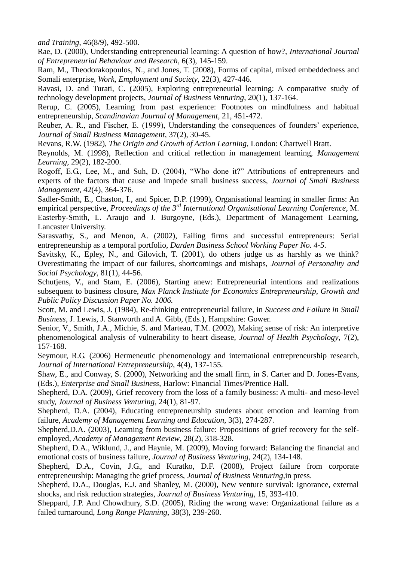*and Training*, 46(8/9), 492-500.

Rae, D. (2000), Understanding entrepreneurial learning: A question of how?, *International Journal of Entrepreneurial Behaviour and Research*, 6(3), 145-159.

Ram, M., Theodorakopoulos, N., and Jones, T. (2008), Forms of capital, mixed embeddedness and Somali enterprise, *Work, Employment and Society*, 22(3), 427-446.

Ravasi, D. and Turati, C. (2005), Exploring entrepreneurial learning: A comparative study of technology development projects, *Journal of Business Venturing*, 20(1), 137-164.

Rerup, C. (2005), Learning from past experience: Footnotes on mindfulness and habitual entrepreneurship, *Scandinavian Journal of Management*, 21, 451-472.

Reuber, A. R., and Fischer, E. (1999), Understanding the consequences of founders' experience, *Journal of Small Business Management*, 37(2), 30-45.

Revans, R.W. (1982), *The Origin and Growth of Action Learning*, London: Chartwell Bratt.

Reynolds, M. (1998), Reflection and critical reflection in management learning, *Management Learning*, 29(2), 182-200.

Rogoff, E.G., Lee, M., and Suh, D. (2004), "Who done it?" Attributions of entrepreneurs and experts of the factors that cause and impede small business success, *Journal of Small Business Management*, 42(4), 364-376.

Sadler-Smith, E., Chaston, I., and Spicer, D.P. (1999), Organisational learning in smaller firms: An empirical perspective, *Proceedings of the 3rd International Organisational Learning Conference*, M. Easterby-Smith, L. Araujo and J. Burgoyne, (Eds.), Department of Management Learning, Lancaster University.

Sarasvathy, S., and Menon, A. (2002), Failing firms and successful entrepreneurs: Serial entrepreneurship as a temporal portfolio, *Darden Business School Working Paper No. 4-5.*

Savitsky, K., Epley, N., and Gilovich, T. (2001), do others judge us as harshly as we think? Overestimating the impact of our failures, shortcomings and mishaps, *Journal of Personality and Social Psychology*, 81(1), 44-56.

Schutjens, V., and Stam, E. (2006), Starting anew: Entrepreneurial intentions and realizations subsequent to business closure, *Max Planck Institute for Economics Entrepreneurship, Growth and Public Policy Discussion Paper No. 1006.*

Scott, M. and Lewis, J. (1984), Re-thinking entrepreneurial failure, in *Success and Failure in Small Business,* J. Lewis, J. Stanworth and A. Gibb, (Eds.), Hampshire: Gower.

Senior, V., Smith, J.A., Michie, S. and Marteau, T.M. (2002), Making sense of risk: An interpretive phenomenological analysis of vulnerability to heart disease, *Journal of Health Psychology*, 7(2), 157-168.

Seymour, R.G. (2006) Hermeneutic phenomenology and international entrepreneurship research, *Journal of International Entrepreneurship*, 4(4), 137-155.

Shaw, E., and Conway, S. (2000), Networking and the small firm, in S. Carter and D. Jones-Evans, (Eds.), *Enterprise and Small Business*, Harlow: Financial Times/Prentice Hall.

Shepherd, D.A. (2009), Grief recovery from the loss of a family business: A multi- and meso-level study, *Journal of Business Venturing*, 24(1), 81-97.

Shepherd, D.A. (2004), Educating entrepreneurship students about emotion and learning from failure, *Academy of Management Learning and Education*, 3(3), 274-287.

Shepherd,D.A. (2003), Learning from business failure: Propositions of grief recovery for the selfemployed, *Academy of Management Review*, 28(2), 318-328.

Shepherd, D.A., Wiklund, J., and Haynie, M. (2009), Moving forward: Balancing the financial and emotional costs of business failure, *Journal of Business Venturing*, 24(2), 134-148.

Shepherd, D.A., Covin, J.G., and Kuratko, D.F. (2008), Project failure from corporate entrepreneurship: Managing the grief process, *Journal of Business Venturing,*in press.

Shepherd, D.A., Douglas, E.J. and Shanley, M. (2000), New venture survival: Ignorance, external shocks, and risk reduction strategies, *Journal of Business Venturing*, 15, 393-410.

Sheppard, J.P. And Chowdhury, S.D. (2005), Riding the wrong wave: Organizational failure as a failed turnaround, *Long Range Planning*, 38(3), 239-260.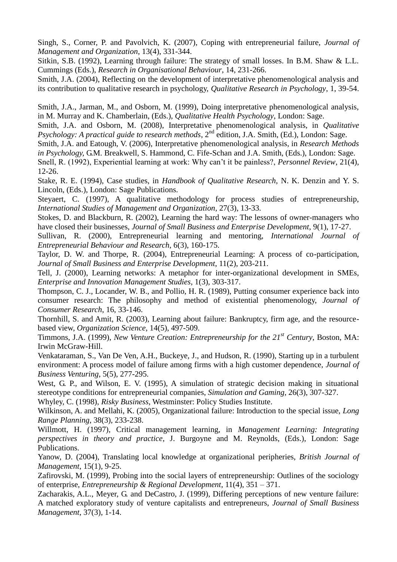Singh, S., Corner, P. and Pavolvich, K. (2007), Coping with entrepreneurial failure, *Journal of Management and Organization*, 13(4), 331-344.

Sitkin, S.B. (1992), Learning through failure: The strategy of small losses. In B.M. Shaw & L.L. Cummings (Eds.), *Research in Organisational Behaviour*, 14, 231-266.

Smith, J.A. (2004), Reflecting on the development of interpretative phenomenological analysis and its contribution to qualitative research in psychology, *Qualitative Research in Psychology*, 1, 39-54.

Smith, J.A., Jarman, M., and Osborn, M. (1999), Doing interpretative phenomenological analysis, in M. Murray and K. Chamberlain, (Eds.), *Qualitative Health Psychology*, London: Sage.

Smith, J.A. and Osborn, M. (2008), Interpretative phenomenological analysis, in *Qualitative Psychology: A practical guide to research methods*, 2<sup>nd</sup> edition, J.A. Smith, (Ed.), London: Sage.

Smith, J.A. and Eatough, V. (2006), Interpretative phenomenological analysis, in *Research Methods in Psychology,* G.M. Breakwell, S. Hammond, C. Fife-Schan and J.A. Smith, (Eds.), London: Sage.

Snell, R. (1992), Experiential learning at work: Why can't it be painless?, *Personnel Review*, 21(4), 12-26.

Stake, R. E. (1994), Case studies, in *Handbook of Qualitative Research*, N. K. Denzin and Y. S. Lincoln, (Eds.), London: Sage Publications.

Steyaert, C. (1997), A qualitative methodology for process studies of entrepreneurship, *International Studies of Management and Organization*, 27(3), 13-33.

Stokes, D. and Blackburn, R. (2002), Learning the hard way: The lessons of owner-managers who have closed their businesses, *Journal of Small Business and Enterprise Development*, 9(1), 17-27.

Sullivan, R. (2000), Entrepreneurial learning and mentoring, *International Journal of Entrepreneurial Behaviour and Research*, 6(3), 160-175.

Taylor, D. W. and Thorpe, R. (2004), Entrepreneurial Learning: A process of co-participation, *Journal of Small Business and Enterprise Development*, 11(2), 203-211.

Tell, J. (2000), Learning networks: A metaphor for inter-organizational development in SMEs, *Enterprise and Innovation Management Studies*, 1(3), 303-317.

Thompson, C. J., Locander, W. B., and Pollio, H. R. (1989), Putting consumer experience back into consumer research: The philosophy and method of existential phenomenology, *Journal of Consumer Research*, 16, 33-146.

Thornhill, S. and Amit, R. (2003), Learning about failure: Bankruptcy, firm age, and the resourcebased view, *Organization Science*, 14(5), 497-509.

Timmons, J.A. (1999), *New Venture Creation: Entrepreneurship for the 21st Century*, Boston, MA: Irwin McGraw-Hill.

Venkataraman, S., Van De Ven, A.H., Buckeye, J., and Hudson, R. (1990), Starting up in a turbulent environment: A process model of failure among firms with a high customer dependence, *Journal of Business Venturing*, 5(5), 277-295.

West, G. P., and Wilson, E. V. (1995), A simulation of strategic decision making in situational stereotype conditions for entrepreneurial companies, *Simulation and Gaming*, 26(3), 307-327.

Whyley, C. (1998), *Risky Business*, Westminster: Policy Studies Institute.

Wilkinson, A. and Mellahi, K. (2005), Organizational failure: Introduction to the special issue, *Long Range Planning*, 38(3), 233-238.

Willmott, H. (1997), Critical management learning, in *Management Learning: Integrating perspectives in theory and practice*, J. Burgoyne and M. Reynolds, (Eds.), London: Sage Publications.

Yanow, D. (2004), Translating local knowledge at organizational peripheries, *British Journal of Management*, 15(1), 9-25.

Zafirovski, M. (1999), Probing into the social layers of entrepreneurship: Outlines of the sociology of enterprise, *Entrepreneurship & Regional Development*, 11(4), 351 – 371.

Zacharakis, A.L., Meyer, G. and DeCastro, J. (1999), Differing perceptions of new venture failure: A matched exploratory study of venture capitalists and entrepreneurs, *Journal of Small Business Management*, 37(3), 1-14.